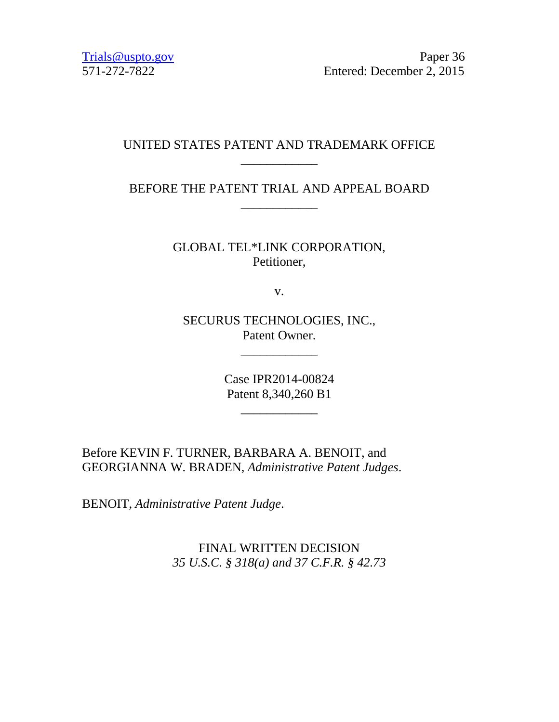Trials @uspto.gov Paper 36 571-272-7822 Entered: December 2, 2015

# UNITED STATES PATENT AND TRADEMARK OFFICE \_\_\_\_\_\_\_\_\_\_\_\_

# BEFORE THE PATENT TRIAL AND APPEAL BOARD \_\_\_\_\_\_\_\_\_\_\_\_

GLOBAL TEL\*LINK CORPORATION, Petitioner,

v.

SECURUS TECHNOLOGIES, INC., Patent Owner.

\_\_\_\_\_\_\_\_\_\_\_\_

Case IPR2014-00824 Patent 8,340,260 B1

\_\_\_\_\_\_\_\_\_\_\_\_

Before KEVIN F. TURNER, BARBARA A. BENOIT, and GEORGIANNA W. BRADEN, *Administrative Patent Judges*.

BENOIT, *Administrative Patent Judge*.

FINAL WRITTEN DECISION *35 U.S.C. § 318(a) and 37 C.F.R. § 42.73*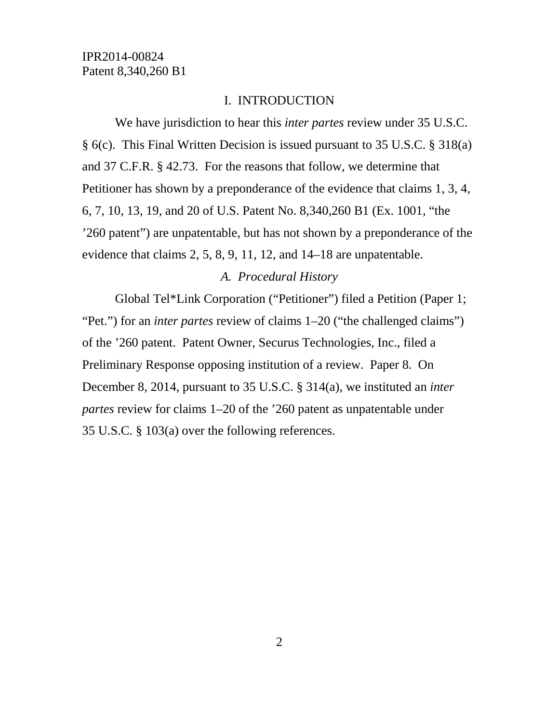### I. INTRODUCTION

We have jurisdiction to hear this *inter partes* review under 35 U.S.C. § 6(c). This Final Written Decision is issued pursuant to 35 U.S.C. § 318(a) and 37 C.F.R. § 42.73. For the reasons that follow, we determine that Petitioner has shown by a preponderance of the evidence that claims 1, 3, 4, 6, 7, 10, 13, 19, and 20 of U.S. Patent No. 8,340,260 B1 (Ex. 1001, "the '260 patent") are unpatentable, but has not shown by a preponderance of the evidence that claims 2, 5, 8, 9, 11, 12, and 14–18 are unpatentable.

### *A. Procedural History*

Global Tel\*Link Corporation ("Petitioner") filed a Petition (Paper 1; "Pet.") for an *inter partes* review of claims 1–20 ("the challenged claims") of the '260 patent. Patent Owner, Securus Technologies, Inc., filed a Preliminary Response opposing institution of a review. Paper 8. On December 8, 2014, pursuant to 35 U.S.C. § 314(a), we instituted an *inter partes* review for claims 1–20 of the '260 patent as unpatentable under 35 U.S.C. § 103(a) over the following references.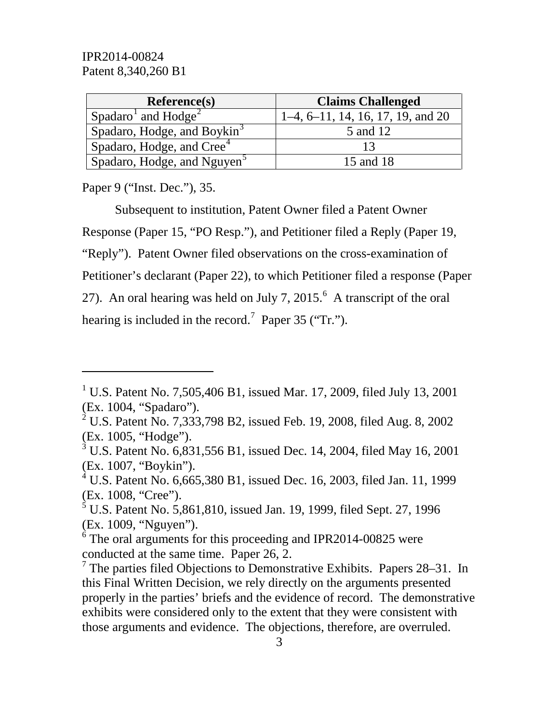| <b>Reference(s)</b>                     | <b>Claims Challenged</b>            |
|-----------------------------------------|-------------------------------------|
| Spadaro <sup>1</sup> and $Hodge2$       | $1-4, 6-11, 14, 16, 17, 19,$ and 20 |
| Spadaro, Hodge, and Boykin <sup>3</sup> | 5 and 12                            |
| Spadaro, Hodge, and Cree <sup>4</sup>   |                                     |
| Spadaro, Hodge, and Nguyen <sup>3</sup> | 15 and 18                           |

Paper 9 ("Inst. Dec."), 35.

 $\overline{a}$ 

Subsequent to institution, Patent Owner filed a Patent Owner Response (Paper 15, "PO Resp."), and Petitioner filed a Reply (Paper 19, "Reply"). Patent Owner filed observations on the cross-examination of Petitioner's declarant (Paper 22), to which Petitioner filed a response (Paper 27). An oral hearing was held on July 7, 2015. $^6$  $^6$  A transcript of the oral hearing is included in the record.<sup>[7](#page-2-6)</sup> Paper 35 ("Tr.").

<span id="page-2-1"></span><sup>2</sup> U.S. Patent No. 7,333,798 B2, issued Feb. 19, 2008, filed Aug. 8, 2002 (Ex. 1005, "Hodge").

<span id="page-2-0"></span><sup>&</sup>lt;sup>1</sup> U.S. Patent No. 7,505,406 B1, issued Mar. 17, 2009, filed July 13, 2001 (Ex. 1004, "Spadaro").

<span id="page-2-2"></span> $3 \text{ U.S.}$  Patent No. 6,831,556 B1, issued Dec. 14, 2004, filed May 16, 2001 (Ex. 1007, "Boykin").

<span id="page-2-3"></span><sup>&</sup>lt;sup>4</sup> U.S. Patent No. 6,665,380 B1, issued Dec. 16, 2003, filed Jan. 11, 1999 (Ex. 1008, "Cree").

<span id="page-2-4"></span><sup>&</sup>lt;sup>5</sup> U.S. Patent No. 5,861,810, issued Jan. 19, 1999, filed Sept. 27, 1996 (Ex. 1009, "Nguyen").

<span id="page-2-5"></span><sup>&</sup>lt;sup>6</sup> The oral arguments for this proceeding and IPR2014-00825 were conducted at the same time. Paper 26, 2.

<span id="page-2-6"></span> $<sup>7</sup>$  The parties filed Objections to Demonstrative Exhibits. Papers 28–31. In</sup> this Final Written Decision, we rely directly on the arguments presented properly in the parties' briefs and the evidence of record. The demonstrative exhibits were considered only to the extent that they were consistent with those arguments and evidence. The objections, therefore, are overruled.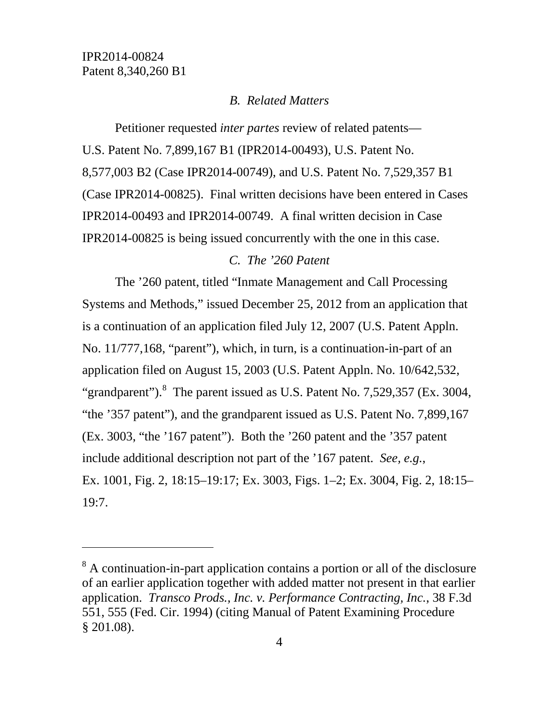$\overline{a}$ 

### *B. Related Matters*

Petitioner requested *inter partes* review of related patents— U.S. Patent No. 7,899,167 B1 (IPR2014-00493), U.S. Patent No. 8,577,003 B2 (Case IPR2014-00749), and U.S. Patent No. 7,529,357 B1 (Case IPR2014-00825). Final written decisions have been entered in Cases IPR2014-00493 and IPR2014-00749. A final written decision in Case IPR2014-00825 is being issued concurrently with the one in this case.

### *C. The '260 Patent*

The '260 patent, titled "Inmate Management and Call Processing Systems and Methods," issued December 25, 2012 from an application that is a continuation of an application filed July 12, 2007 (U.S. Patent Appln. No. 11/777,168, "parent"), which, in turn, is a continuation-in-part of an application filed on August 15, 2003 (U.S. Patent Appln. No. 10/642,532, "grandparent"). $8$  The parent issued as U.S. Patent No. 7,529,357 (Ex. 3004, "the '357 patent"), and the grandparent issued as U.S. Patent No. 7,899,167 (Ex. 3003, "the '167 patent"). Both the '260 patent and the '357 patent include additional description not part of the '167 patent. *See, e.g.*, Ex. 1001, Fig. 2, 18:15–19:17; Ex. 3003, Figs. 1–2; Ex. 3004, Fig. 2, 18:15– 19:7.

<span id="page-3-0"></span><sup>&</sup>lt;sup>8</sup> A continuation-in-part application contains a portion or all of the disclosure of an earlier application together with added matter not present in that earlier application. *Transco Prods., Inc. v. Performance Contracting, Inc.*, 38 F.3d 551, 555 (Fed. Cir. 1994) (citing Manual of Patent Examining Procedure § 201.08).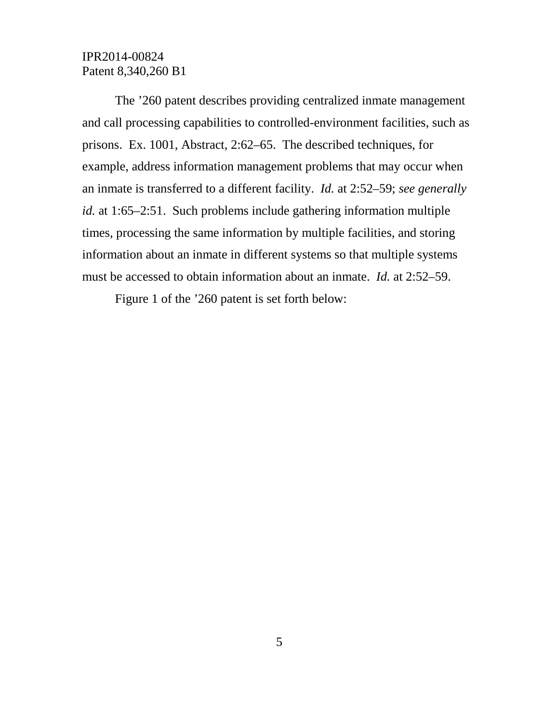The '260 patent describes providing centralized inmate management and call processing capabilities to controlled-environment facilities, such as prisons. Ex. 1001, Abstract, 2:62–65. The described techniques, for example, address information management problems that may occur when an inmate is transferred to a different facility. *Id.* at 2:52–59; *see generally id.* at 1:65–2:51. Such problems include gathering information multiple times, processing the same information by multiple facilities, and storing information about an inmate in different systems so that multiple systems must be accessed to obtain information about an inmate. *Id.* at 2:52–59.

Figure 1 of the '260 patent is set forth below: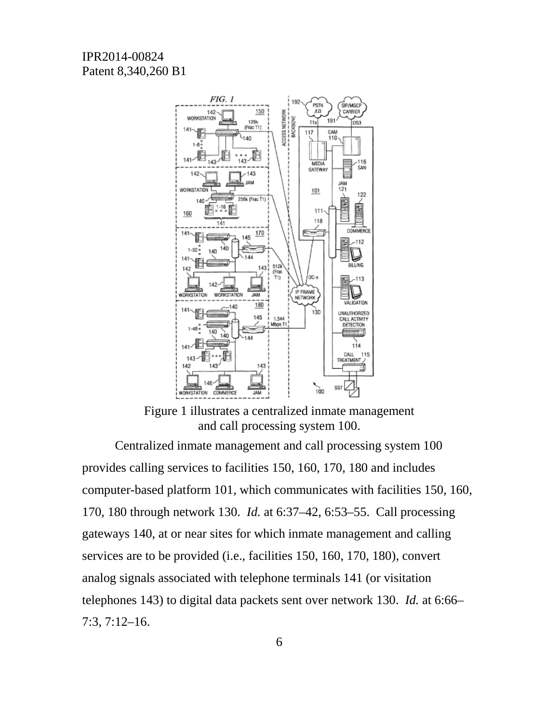

Figure 1 illustrates a centralized inmate management and call processing system 100.

Centralized inmate management and call processing system 100 provides calling services to facilities 150, 160, 170, 180 and includes computer-based platform 101, which communicates with facilities 150, 160, 170, 180 through network 130. *Id.* at 6:37–42, 6:53–55. Call processing gateways 140, at or near sites for which inmate management and calling services are to be provided (i.e., facilities 150, 160, 170, 180), convert analog signals associated with telephone terminals 141 (or visitation telephones 143) to digital data packets sent over network 130. *Id.* at 6:66– 7:3, 7:12–16.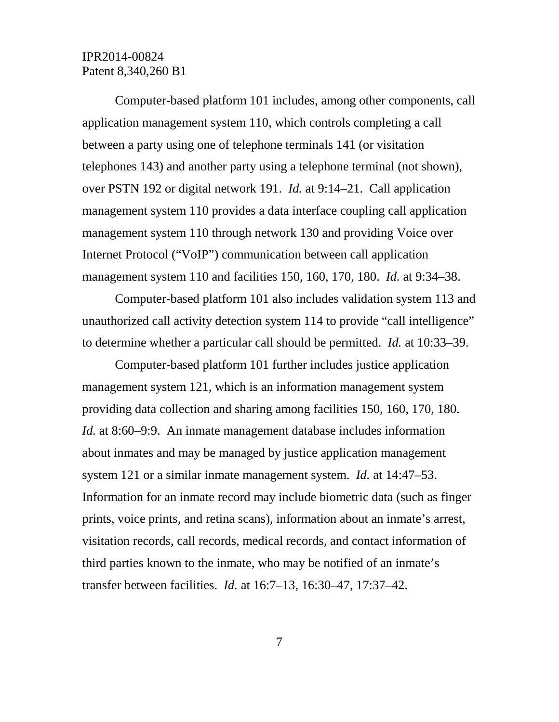Computer-based platform 101 includes, among other components, call application management system 110, which controls completing a call between a party using one of telephone terminals 141 (or visitation telephones 143) and another party using a telephone terminal (not shown), over PSTN 192 or digital network 191. *Id.* at 9:14–21. Call application management system 110 provides a data interface coupling call application management system 110 through network 130 and providing Voice over Internet Protocol ("VoIP") communication between call application management system 110 and facilities 150, 160, 170, 180. *Id.* at 9:34–38.

Computer-based platform 101 also includes validation system 113 and unauthorized call activity detection system 114 to provide "call intelligence" to determine whether a particular call should be permitted. *Id.* at 10:33–39.

Computer-based platform 101 further includes justice application management system 121, which is an information management system providing data collection and sharing among facilities 150, 160, 170, 180. *Id.* at 8:60–9:9. An inmate management database includes information about inmates and may be managed by justice application management system 121 or a similar inmate management system. *Id.* at 14:47–53. Information for an inmate record may include biometric data (such as finger prints, voice prints, and retina scans), information about an inmate's arrest, visitation records, call records, medical records, and contact information of third parties known to the inmate, who may be notified of an inmate's transfer between facilities. *Id.* at 16:7–13, 16:30–47, 17:37–42.

7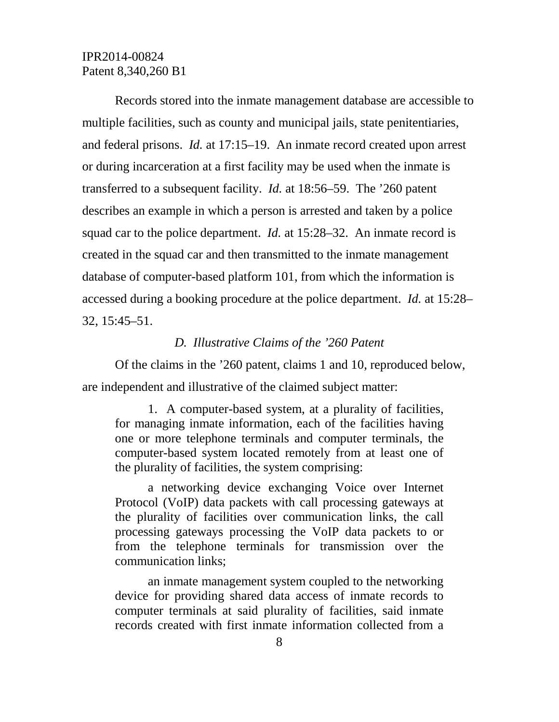Records stored into the inmate management database are accessible to multiple facilities, such as county and municipal jails, state penitentiaries, and federal prisons. *Id.* at 17:15–19. An inmate record created upon arrest or during incarceration at a first facility may be used when the inmate is transferred to a subsequent facility. *Id.* at 18:56–59. The '260 patent describes an example in which a person is arrested and taken by a police squad car to the police department. *Id.* at 15:28–32. An inmate record is created in the squad car and then transmitted to the inmate management database of computer-based platform 101, from which the information is accessed during a booking procedure at the police department. *Id.* at 15:28– 32, 15:45–51.

### *D. Illustrative Claims of the '260 Patent*

Of the claims in the '260 patent, claims 1 and 10, reproduced below, are independent and illustrative of the claimed subject matter:

1. A computer-based system, at a plurality of facilities, for managing inmate information, each of the facilities having one or more telephone terminals and computer terminals, the computer-based system located remotely from at least one of the plurality of facilities, the system comprising:

a networking device exchanging Voice over Internet Protocol (VoIP) data packets with call processing gateways at the plurality of facilities over communication links, the call processing gateways processing the VoIP data packets to or from the telephone terminals for transmission over the communication links;

an inmate management system coupled to the networking device for providing shared data access of inmate records to computer terminals at said plurality of facilities, said inmate records created with first inmate information collected from a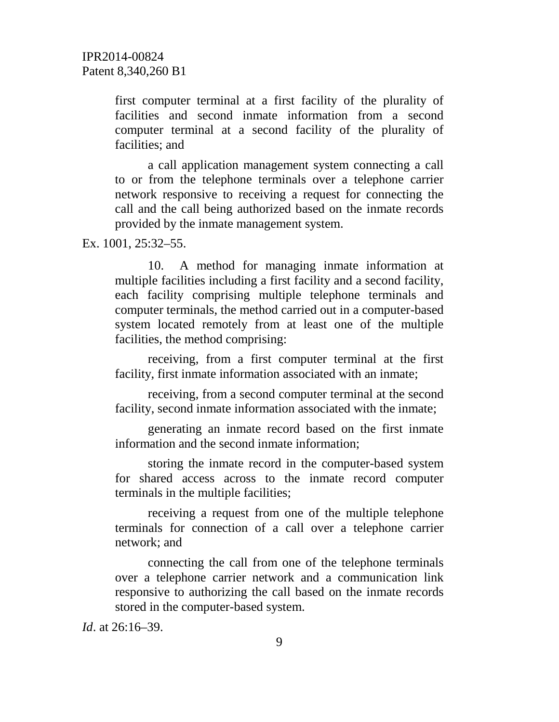first computer terminal at a first facility of the plurality of facilities and second inmate information from a second computer terminal at a second facility of the plurality of facilities; and

a call application management system connecting a call to or from the telephone terminals over a telephone carrier network responsive to receiving a request for connecting the call and the call being authorized based on the inmate records provided by the inmate management system.

Ex. 1001, 25:32–55.

10. A method for managing inmate information at multiple facilities including a first facility and a second facility, each facility comprising multiple telephone terminals and computer terminals, the method carried out in a computer-based system located remotely from at least one of the multiple facilities, the method comprising:

receiving, from a first computer terminal at the first facility, first inmate information associated with an inmate;

receiving, from a second computer terminal at the second facility, second inmate information associated with the inmate;

generating an inmate record based on the first inmate information and the second inmate information;

storing the inmate record in the computer-based system for shared access across to the inmate record computer terminals in the multiple facilities;

receiving a request from one of the multiple telephone terminals for connection of a call over a telephone carrier network; and

connecting the call from one of the telephone terminals over a telephone carrier network and a communication link responsive to authorizing the call based on the inmate records stored in the computer-based system.

*Id*. at 26:16–39.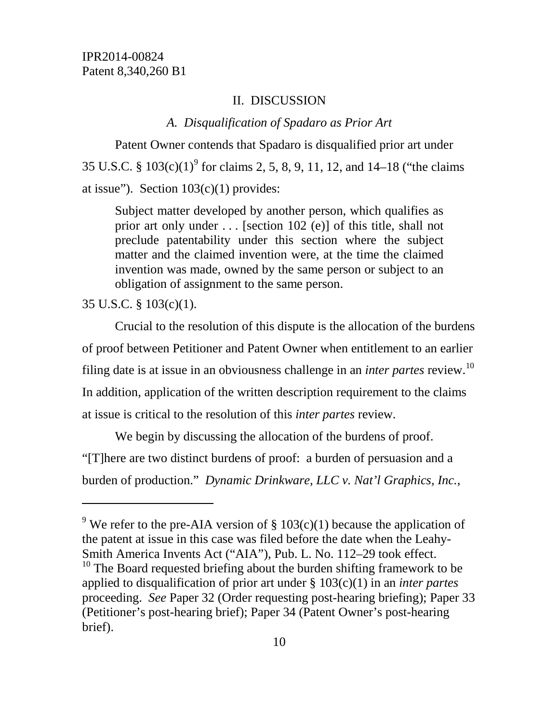### II. DISCUSSION

### *A. Disqualification of Spadaro as Prior Art*

Patent Owner contends that Spadaro is disqualified prior art under 35 U.S.C. §  $103(c)(1)^9$  $103(c)(1)^9$  for claims 2, 5, 8, 9, 11, 12, and 14–18 ("the claims") at issue"). Section  $103(c)(1)$  provides:

Subject matter developed by another person, which qualifies as prior art only under . . . [section 102 (e)] of this title, shall not preclude patentability under this section where the subject matter and the claimed invention were, at the time the claimed invention was made, owned by the same person or subject to an obligation of assignment to the same person.

35 U.S.C. § 103(c)(1).

 $\overline{a}$ 

Crucial to the resolution of this dispute is the allocation of the burdens of proof between Petitioner and Patent Owner when entitlement to an earlier filing date is at issue in an obviousness challenge in an *inter partes* review.[10](#page-9-1) In addition, application of the written description requirement to the claims at issue is critical to the resolution of this *inter partes* review.

We begin by discussing the allocation of the burdens of proof. "[T]here are two distinct burdens of proof: a burden of persuasion and a burden of production." *Dynamic Drinkware, LLC v. Nat'l Graphics, Inc.*,

<span id="page-9-1"></span><span id="page-9-0"></span><sup>&</sup>lt;sup>9</sup> We refer to the pre-AIA version of  $\S 103(c)(1)$  because the application of the patent at issue in this case was filed before the date when the Leahy-Smith America Invents Act ("AIA"), Pub. L. No. 112–29 took effect.  $10$  The Board requested briefing about the burden shifting framework to be applied to disqualification of prior art under § 103(c)(1) in an *inter partes*  proceeding. *See* Paper 32 (Order requesting post-hearing briefing); Paper 33 (Petitioner's post-hearing brief); Paper 34 (Patent Owner's post-hearing brief).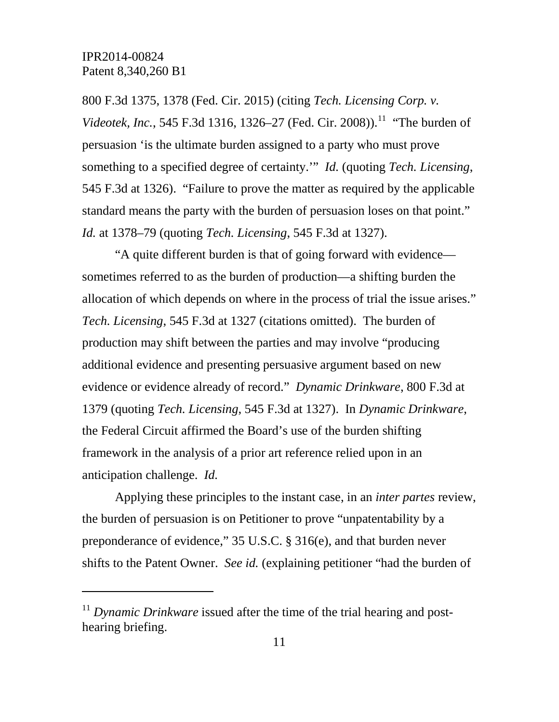$\overline{a}$ 

800 F.3d 1375, 1378 (Fed. Cir. 2015) (citing *Tech. Licensing Corp. v. Videotek, Inc.*, 545 F.3d 1316, 1326–27 (Fed. Cir. 2008)).<sup>[11](#page-10-0)</sup> "The burden of persuasion 'is the ultimate burden assigned to a party who must prove something to a specified degree of certainty.'" *Id.* (quoting *Tech. Licensing*, 545 F.3d at 1326). "Failure to prove the matter as required by the applicable standard means the party with the burden of persuasion loses on that point." *Id.* at 1378–79 (quoting *Tech. Licensing*, 545 F.3d at 1327).

"A quite different burden is that of going forward with evidence sometimes referred to as the burden of production—a shifting burden the allocation of which depends on where in the process of trial the issue arises." *Tech. Licensing*, 545 F.3d at 1327 (citations omitted). The burden of production may shift between the parties and may involve "producing additional evidence and presenting persuasive argument based on new evidence or evidence already of record." *Dynamic Drinkware*, 800 F.3d at 1379 (quoting *Tech. Licensing*, 545 F.3d at 1327). In *Dynamic Drinkware*, the Federal Circuit affirmed the Board's use of the burden shifting framework in the analysis of a prior art reference relied upon in an anticipation challenge. *Id.*

Applying these principles to the instant case, in an *inter partes* review, the burden of persuasion is on Petitioner to prove "unpatentability by a preponderance of evidence," 35 U.S.C. § 316(e), and that burden never shifts to the Patent Owner. *See id.* (explaining petitioner "had the burden of

<span id="page-10-0"></span><sup>&</sup>lt;sup>11</sup> Dynamic Drinkware issued after the time of the trial hearing and posthearing briefing.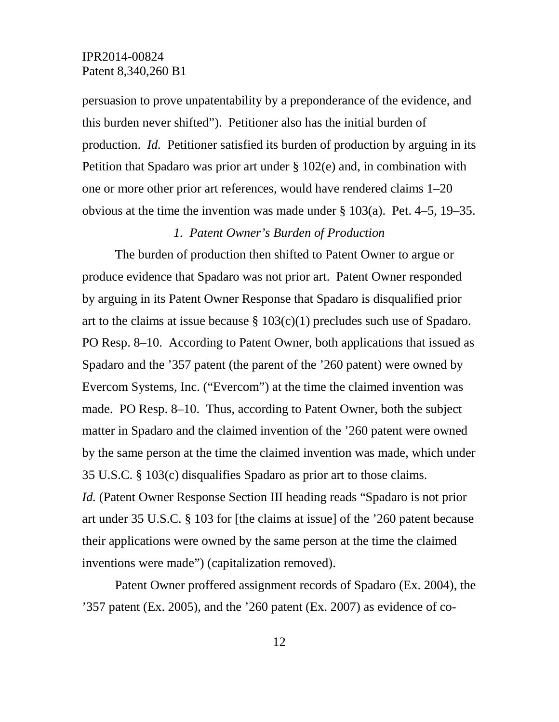persuasion to prove unpatentability by a preponderance of the evidence, and this burden never shifted"). Petitioner also has the initial burden of production. *Id.* Petitioner satisfied its burden of production by arguing in its Petition that Spadaro was prior art under § 102(e) and, in combination with one or more other prior art references, would have rendered claims 1–20 obvious at the time the invention was made under § 103(a). Pet. 4–5, 19–35.

### *1. Patent Owner's Burden of Production*

The burden of production then shifted to Patent Owner to argue or produce evidence that Spadaro was not prior art. Patent Owner responded by arguing in its Patent Owner Response that Spadaro is disqualified prior art to the claims at issue because  $\S 103(c)(1)$  precludes such use of Spadaro. PO Resp. 8–10. According to Patent Owner, both applications that issued as Spadaro and the '357 patent (the parent of the '260 patent) were owned by Evercom Systems, Inc. ("Evercom") at the time the claimed invention was made. PO Resp. 8–10. Thus, according to Patent Owner, both the subject matter in Spadaro and the claimed invention of the '260 patent were owned by the same person at the time the claimed invention was made, which under 35 U.S.C. § 103(c) disqualifies Spadaro as prior art to those claims. *Id.* (Patent Owner Response Section III heading reads "Spadaro is not prior art under 35 U.S.C. § 103 for [the claims at issue] of the '260 patent because their applications were owned by the same person at the time the claimed inventions were made") (capitalization removed).

Patent Owner proffered assignment records of Spadaro (Ex. 2004), the '357 patent (Ex. 2005), and the '260 patent (Ex. 2007) as evidence of co-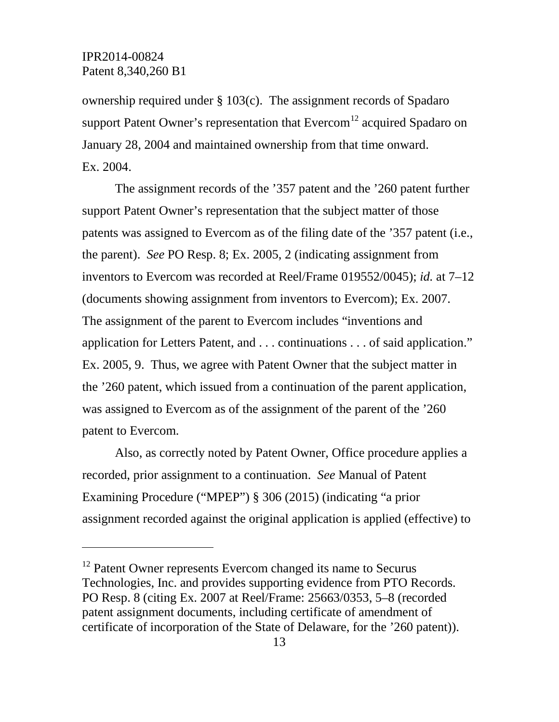$\overline{a}$ 

ownership required under § 103(c). The assignment records of Spadaro support Patent Owner's representation that  $\rm{Evercom}^{12}$  $\rm{Evercom}^{12}$  $\rm{Evercom}^{12}$  acquired Spadaro on January 28, 2004 and maintained ownership from that time onward. Ex. 2004.

The assignment records of the '357 patent and the '260 patent further support Patent Owner's representation that the subject matter of those patents was assigned to Evercom as of the filing date of the '357 patent (i.e., the parent). *See* PO Resp. 8; Ex. 2005, 2 (indicating assignment from inventors to Evercom was recorded at Reel/Frame 019552/0045); *id.* at 7–12 (documents showing assignment from inventors to Evercom); Ex. 2007. The assignment of the parent to Evercom includes "inventions and application for Letters Patent, and . . . continuations . . . of said application." Ex. 2005, 9. Thus, we agree with Patent Owner that the subject matter in the '260 patent, which issued from a continuation of the parent application, was assigned to Evercom as of the assignment of the parent of the '260 patent to Evercom.

Also, as correctly noted by Patent Owner, Office procedure applies a recorded, prior assignment to a continuation. *See* Manual of Patent Examining Procedure ("MPEP") § 306 (2015) (indicating "a prior assignment recorded against the original application is applied (effective) to

<span id="page-12-0"></span><sup>&</sup>lt;sup>12</sup> Patent Owner represents Evercom changed its name to Securus Technologies, Inc. and provides supporting evidence from PTO Records. PO Resp. 8 (citing Ex. 2007 at Reel/Frame: 25663/0353, 5–8 (recorded patent assignment documents, including certificate of amendment of certificate of incorporation of the State of Delaware, for the '260 patent)).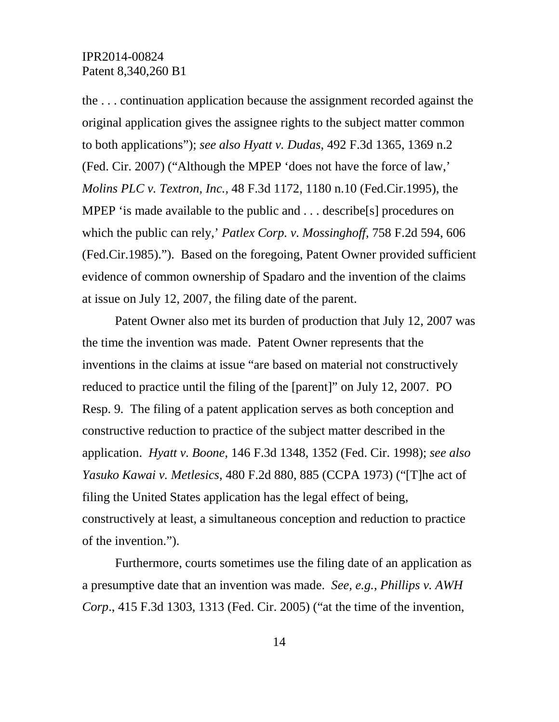the . . . continuation application because the assignment recorded against the original application gives the assignee rights to the subject matter common to both applications"); *see also Hyatt v. Dudas*, 492 F.3d 1365, 1369 n.2 (Fed. Cir. 2007) ("Although the MPEP 'does not have the force of law,' *Molins PLC v. Textron, Inc.,* 48 F.3d 1172, 1180 n.10 (Fed.Cir.1995), the MPEP 'is made available to the public and . . . describe [s] procedures on which the public can rely,' *Patlex Corp. v. Mossinghoff,* 758 F.2d 594, 606 (Fed.Cir.1985)."). Based on the foregoing, Patent Owner provided sufficient evidence of common ownership of Spadaro and the invention of the claims at issue on July 12, 2007, the filing date of the parent.

Patent Owner also met its burden of production that July 12, 2007 was the time the invention was made. Patent Owner represents that the inventions in the claims at issue "are based on material not constructively reduced to practice until the filing of the [parent]" on July 12, 2007. PO Resp. 9*.* The filing of a patent application serves as both conception and constructive reduction to practice of the subject matter described in the application. *Hyatt v. Boone*, 146 F.3d 1348, 1352 (Fed. Cir. 1998); *see also Yasuko Kawai v. Metlesics*, 480 F.2d 880, 885 (CCPA 1973) ("[T]he act of filing the United States application has the legal effect of being, constructively at least, a simultaneous conception and reduction to practice of the invention.").

Furthermore, courts sometimes use the filing date of an application as a presumptive date that an invention was made. *See, e.g.*, *Phillips v. AWH Corp*., 415 F.3d 1303, 1313 (Fed. Cir. 2005) ("at the time of the invention,

14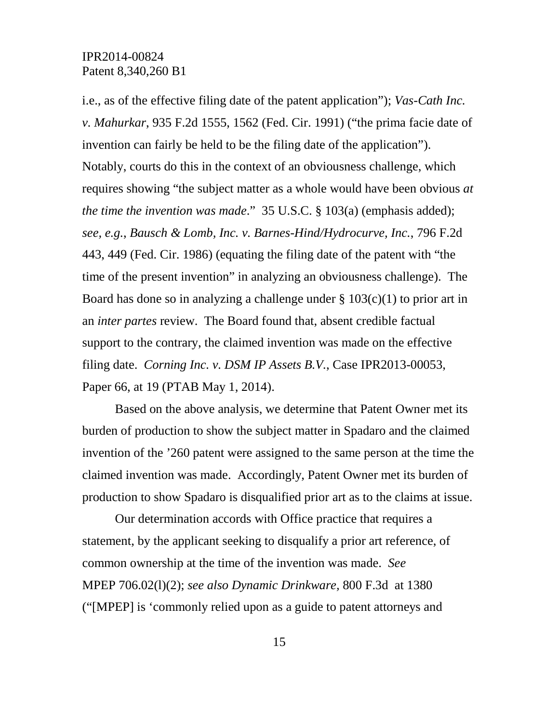i.e., as of the effective filing date of the patent application"); *Vas-Cath Inc. v. Mahurkar*, 935 F.2d 1555, 1562 (Fed. Cir. 1991) ("the prima facie date of invention can fairly be held to be the filing date of the application"). Notably, courts do this in the context of an obviousness challenge, which requires showing "the subject matter as a whole would have been obvious *at the time the invention was made*." 35 U.S.C. § 103(a) (emphasis added); *see, e.g.*, *Bausch & Lomb, Inc. v. Barnes-Hind/Hydrocurve, Inc.*, 796 F.2d 443, 449 (Fed. Cir. 1986) (equating the filing date of the patent with "the time of the present invention" in analyzing an obviousness challenge). The Board has done so in analyzing a challenge under  $\S 103(c)(1)$  to prior art in an *inter partes* review. The Board found that, absent credible factual support to the contrary, the claimed invention was made on the effective filing date. *Corning Inc. v. DSM IP Assets B.V.*, Case IPR2013-00053, Paper 66, at 19 (PTAB May 1, 2014).

Based on the above analysis, we determine that Patent Owner met its burden of production to show the subject matter in Spadaro and the claimed invention of the '260 patent were assigned to the same person at the time the claimed invention was made. Accordingly, Patent Owner met its burden of production to show Spadaro is disqualified prior art as to the claims at issue.

Our determination accords with Office practice that requires a statement, by the applicant seeking to disqualify a prior art reference, of common ownership at the time of the invention was made. *See*  MPEP 706.02(l)(2); *see also Dynamic Drinkware,* 800 F.3d at 1380 ("[MPEP] is 'commonly relied upon as a guide to patent attorneys and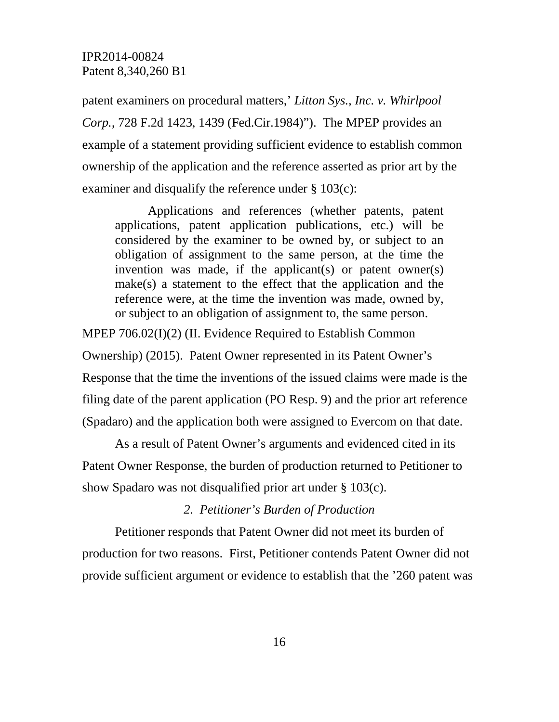patent examiners on procedural matters,' *Litton Sys., Inc. v. Whirlpool Corp.,* 728 F.2d 1423, 1439 (Fed.Cir.1984)"). The MPEP provides an example of a statement providing sufficient evidence to establish common ownership of the application and the reference asserted as prior art by the examiner and disqualify the reference under § 103(c):

Applications and references (whether patents, patent applications, patent application publications, etc.) will be considered by the examiner to be owned by, or subject to an obligation of assignment to the same person, at the time the invention was made, if the applicant(s) or patent owner(s) make(s) a statement to the effect that the application and the reference were, at the time the invention was made, owned by, or subject to an obligation of assignment to, the same person.

MPEP 706.02(I)(2) (II. Evidence Required to Establish Common

Ownership) (2015). Patent Owner represented in its Patent Owner's Response that the time the inventions of the issued claims were made is the filing date of the parent application (PO Resp. 9) and the prior art reference

(Spadaro) and the application both were assigned to Evercom on that date.

As a result of Patent Owner's arguments and evidenced cited in its Patent Owner Response, the burden of production returned to Petitioner to show Spadaro was not disqualified prior art under § 103(c).

# *2. Petitioner's Burden of Production*

Petitioner responds that Patent Owner did not meet its burden of production for two reasons. First, Petitioner contends Patent Owner did not provide sufficient argument or evidence to establish that the '260 patent was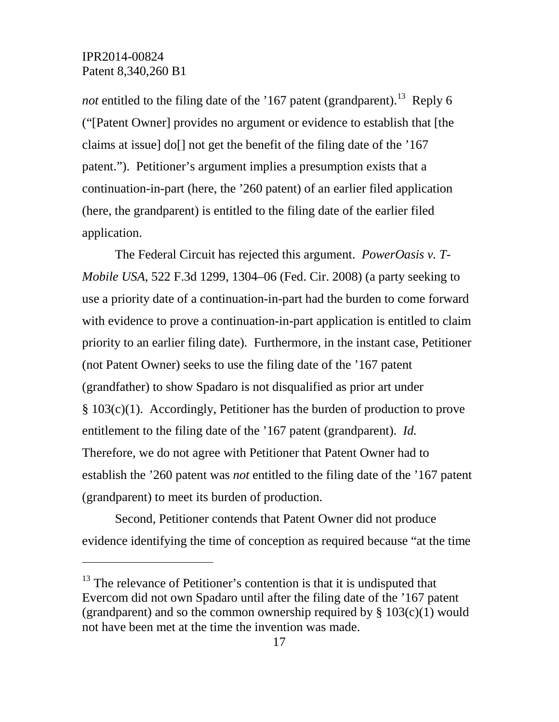$\overline{a}$ 

not entitled to the filing date of the '167 patent (grandparent).<sup>[13](#page-16-0)</sup> Reply 6 ("[Patent Owner] provides no argument or evidence to establish that [the claims at issue] do[] not get the benefit of the filing date of the '167 patent."). Petitioner's argument implies a presumption exists that a continuation-in-part (here, the '260 patent) of an earlier filed application (here, the grandparent) is entitled to the filing date of the earlier filed application.

The Federal Circuit has rejected this argument. *PowerOasis v. T-Mobile USA*, 522 F.3d 1299, 1304–06 (Fed. Cir. 2008) (a party seeking to use a priority date of a continuation-in-part had the burden to come forward with evidence to prove a continuation-in-part application is entitled to claim priority to an earlier filing date)*.* Furthermore, in the instant case, Petitioner (not Patent Owner) seeks to use the filing date of the '167 patent (grandfather) to show Spadaro is not disqualified as prior art under § 103(c)(1). Accordingly, Petitioner has the burden of production to prove entitlement to the filing date of the '167 patent (grandparent). *Id.* Therefore, we do not agree with Petitioner that Patent Owner had to establish the '260 patent was *not* entitled to the filing date of the '167 patent (grandparent) to meet its burden of production.

Second, Petitioner contends that Patent Owner did not produce evidence identifying the time of conception as required because "at the time

<span id="page-16-0"></span> $13$  The relevance of Petitioner's contention is that it is undisputed that Evercom did not own Spadaro until after the filing date of the '167 patent (grandparent) and so the common ownership required by  $\S 103(c)(1)$  would not have been met at the time the invention was made.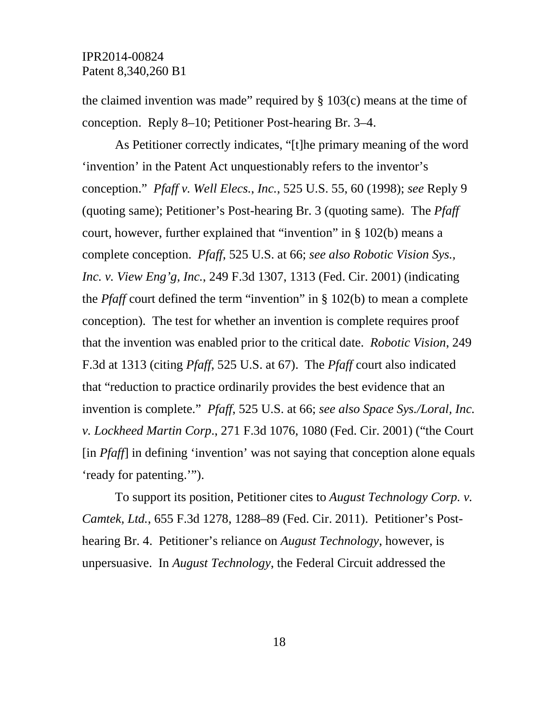the claimed invention was made" required by  $\S$  103(c) means at the time of conception. Reply 8–10; Petitioner Post-hearing Br. 3–4.

As Petitioner correctly indicates, "[t]he primary meaning of the word 'invention' in the Patent Act unquestionably refers to the inventor's conception." *Pfaff v. Well Elecs.*, *Inc.*, 525 U.S. 55, 60 (1998); *see* Reply 9 (quoting same); Petitioner's Post-hearing Br. 3 (quoting same). The *Pfaff* court, however, further explained that "invention" in § 102(b) means a complete conception. *Pfaff*, 525 U.S. at 66; *see also Robotic Vision Sys., Inc. v. View Eng'g, Inc.*, 249 F.3d 1307, 1313 (Fed. Cir. 2001) (indicating the *Pfaff* court defined the term "invention" in § 102(b) to mean a complete conception). The test for whether an invention is complete requires proof that the invention was enabled prior to the critical date. *Robotic Vision*, 249 F.3d at 1313 (citing *Pfaff*, 525 U.S. at 67). The *Pfaff* court also indicated that "reduction to practice ordinarily provides the best evidence that an invention is complete." *Pfaff*, 525 U.S. at 66; *see also Space Sys./Loral, Inc. v. Lockheed Martin Corp*., 271 F.3d 1076, 1080 (Fed. Cir. 2001) ("the Court [in *Pfaff*] in defining 'invention' was not saying that conception alone equals 'ready for patenting.'").

To support its position, Petitioner cites to *August Technology Corp. v. Camtek, Ltd.*, 655 F.3d 1278, 1288–89 (Fed. Cir. 2011). Petitioner's Posthearing Br. 4. Petitioner's reliance on *August Technology*, however, is unpersuasive. In *August Technology*, the Federal Circuit addressed the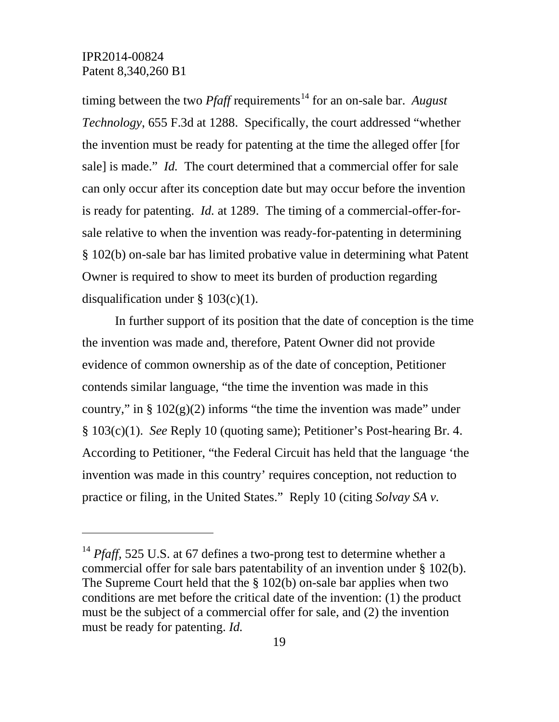$\overline{a}$ 

timing between the two *Pfaff* requirements<sup>[14](#page-18-0)</sup> for an on-sale bar. *August Technology*, 655 F.3d at 1288. Specifically, the court addressed "whether the invention must be ready for patenting at the time the alleged offer [for sale] is made." *Id.* The court determined that a commercial offer for sale can only occur after its conception date but may occur before the invention is ready for patenting. *Id.* at 1289. The timing of a commercial-offer-forsale relative to when the invention was ready-for-patenting in determining § 102(b) on-sale bar has limited probative value in determining what Patent Owner is required to show to meet its burden of production regarding disqualification under  $\S 103(c)(1)$ .

In further support of its position that the date of conception is the time the invention was made and, therefore, Patent Owner did not provide evidence of common ownership as of the date of conception, Petitioner contends similar language, "the time the invention was made in this country," in  $\S 102(g)(2)$  informs "the time the invention was made" under § 103(c)(1). *See* Reply 10 (quoting same); Petitioner's Post-hearing Br. 4. According to Petitioner, "the Federal Circuit has held that the language 'the invention was made in this country' requires conception, not reduction to practice or filing, in the United States." Reply 10 (citing *Solvay SA v.* 

<span id="page-18-0"></span><sup>&</sup>lt;sup>14</sup> *Pfaff,* 525 U.S. at 67 defines a two-prong test to determine whether a commercial offer for sale bars patentability of an invention under § 102(b). The Supreme Court held that the § 102(b) on-sale bar applies when two conditions are met before the critical date of the invention: (1) the product must be the subject of a commercial offer for sale, and (2) the invention must be ready for patenting. *Id.*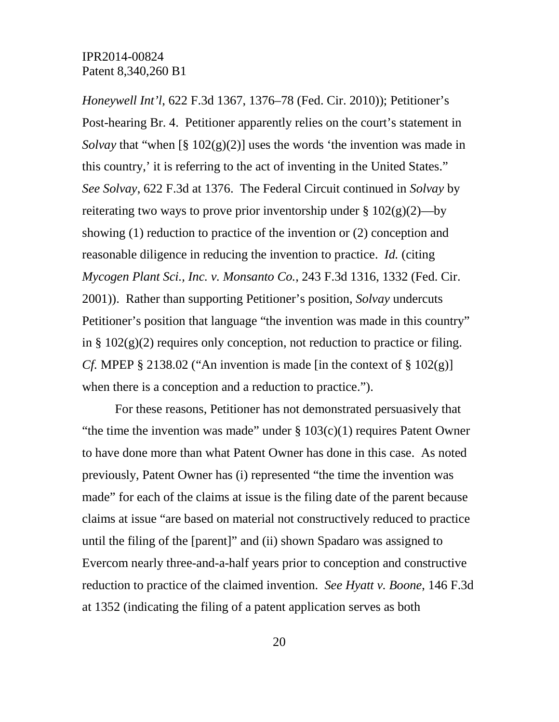*Honeywell Int'l*, 622 F.3d 1367, 1376–78 (Fed. Cir. 2010)); Petitioner's Post-hearing Br. 4. Petitioner apparently relies on the court's statement in *Solvay* that "when [§ 102(g)(2)] uses the words 'the invention was made in this country,' it is referring to the act of inventing in the United States." *See Solvay*, 622 F.3d at 1376. The Federal Circuit continued in *Solvay* by reiterating two ways to prove prior inventorship under  $\S 102(g)(2)$ —by showing (1) reduction to practice of the invention or (2) conception and reasonable diligence in reducing the invention to practice. *Id.* (citing *Mycogen Plant Sci., Inc. v. Monsanto Co.*, 243 F.3d 1316, 1332 (Fed. Cir. 2001)). Rather than supporting Petitioner's position, *Solvay* undercuts Petitioner's position that language "the invention was made in this country" in  $\S 102(g)(2)$  requires only conception, not reduction to practice or filing. *Cf.* MPEP § 2138.02 ("An invention is made [in the context of § 102 $(g)$ ] when there is a conception and a reduction to practice.").

For these reasons, Petitioner has not demonstrated persuasively that "the time the invention was made" under  $\S 103(c)(1)$  requires Patent Owner to have done more than what Patent Owner has done in this case. As noted previously, Patent Owner has (i) represented "the time the invention was made" for each of the claims at issue is the filing date of the parent because claims at issue "are based on material not constructively reduced to practice until the filing of the [parent]" and (ii) shown Spadaro was assigned to Evercom nearly three-and-a-half years prior to conception and constructive reduction to practice of the claimed invention. *See Hyatt v. Boone*, 146 F.3d at 1352 (indicating the filing of a patent application serves as both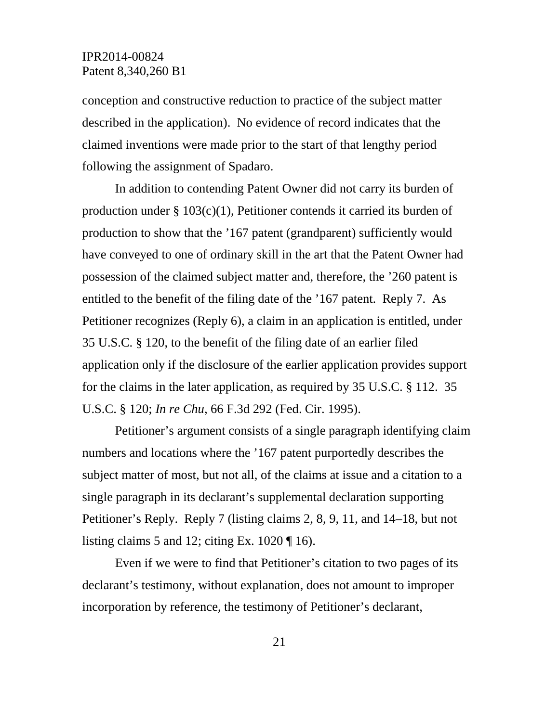conception and constructive reduction to practice of the subject matter described in the application). No evidence of record indicates that the claimed inventions were made prior to the start of that lengthy period following the assignment of Spadaro.

In addition to contending Patent Owner did not carry its burden of production under  $\S 103(c)(1)$ , Petitioner contends it carried its burden of production to show that the '167 patent (grandparent) sufficiently would have conveyed to one of ordinary skill in the art that the Patent Owner had possession of the claimed subject matter and, therefore, the '260 patent is entitled to the benefit of the filing date of the '167 patent. Reply 7. As Petitioner recognizes (Reply 6), a claim in an application is entitled, under 35 U.S.C. § 120, to the benefit of the filing date of an earlier filed application only if the disclosure of the earlier application provides support for the claims in the later application, as required by 35 U.S.C. § 112. 35 U.S.C. § 120; *In re Chu*, 66 F.3d 292 (Fed. Cir. 1995).

Petitioner's argument consists of a single paragraph identifying claim numbers and locations where the '167 patent purportedly describes the subject matter of most, but not all, of the claims at issue and a citation to a single paragraph in its declarant's supplemental declaration supporting Petitioner's Reply. Reply 7 (listing claims 2, 8, 9, 11, and 14–18, but not listing claims 5 and 12; citing Ex.  $1020 \text{ T}$  16).

Even if we were to find that Petitioner's citation to two pages of its declarant's testimony, without explanation, does not amount to improper incorporation by reference, the testimony of Petitioner's declarant,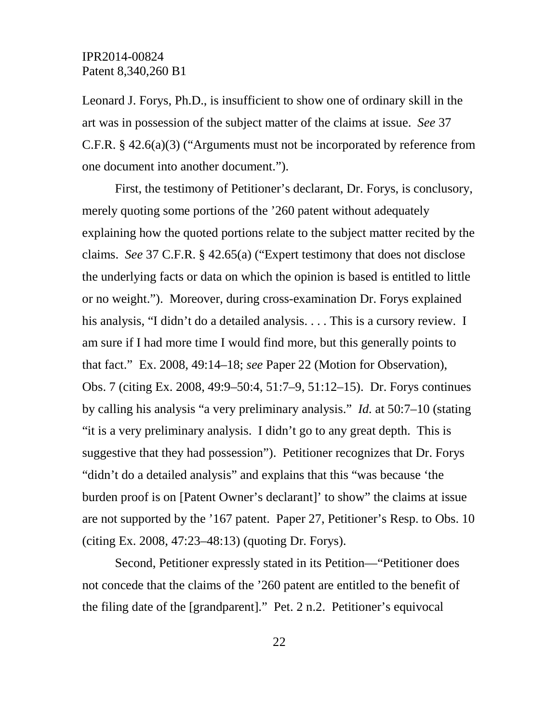Leonard J. Forys, Ph.D., is insufficient to show one of ordinary skill in the art was in possession of the subject matter of the claims at issue. *See* 37 C.F.R. § 42.6(a)(3) ("Arguments must not be incorporated by reference from one document into another document.").

First, the testimony of Petitioner's declarant, Dr. Forys, is conclusory, merely quoting some portions of the '260 patent without adequately explaining how the quoted portions relate to the subject matter recited by the claims. *See* 37 C.F.R. § 42.65(a) ("Expert testimony that does not disclose the underlying facts or data on which the opinion is based is entitled to little or no weight."). Moreover, during cross-examination Dr. Forys explained his analysis, "I didn't do a detailed analysis. . . . This is a cursory review. I am sure if I had more time I would find more, but this generally points to that fact." Ex. 2008, 49:14–18; *see* Paper 22 (Motion for Observation), Obs. 7 (citing Ex. 2008, 49:9–50:4, 51:7–9, 51:12–15). Dr. Forys continues by calling his analysis "a very preliminary analysis." *Id.* at 50:7–10 (stating "it is a very preliminary analysis. I didn't go to any great depth. This is suggestive that they had possession"). Petitioner recognizes that Dr. Forys "didn't do a detailed analysis" and explains that this "was because 'the burden proof is on [Patent Owner's declarant]' to show" the claims at issue are not supported by the '167 patent. Paper 27, Petitioner's Resp. to Obs. 10 (citing Ex. 2008, 47:23–48:13) (quoting Dr. Forys).

Second, Petitioner expressly stated in its Petition—"Petitioner does not concede that the claims of the '260 patent are entitled to the benefit of the filing date of the [grandparent]." Pet. 2 n.2. Petitioner's equivocal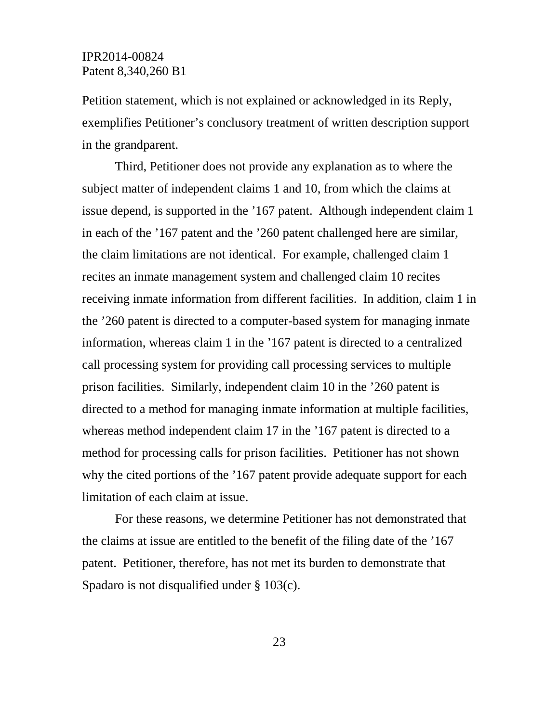Petition statement, which is not explained or acknowledged in its Reply, exemplifies Petitioner's conclusory treatment of written description support in the grandparent.

Third, Petitioner does not provide any explanation as to where the subject matter of independent claims 1 and 10, from which the claims at issue depend, is supported in the '167 patent. Although independent claim 1 in each of the '167 patent and the '260 patent challenged here are similar, the claim limitations are not identical. For example, challenged claim 1 recites an inmate management system and challenged claim 10 recites receiving inmate information from different facilities. In addition, claim 1 in the '260 patent is directed to a computer-based system for managing inmate information, whereas claim 1 in the '167 patent is directed to a centralized call processing system for providing call processing services to multiple prison facilities. Similarly, independent claim 10 in the '260 patent is directed to a method for managing inmate information at multiple facilities, whereas method independent claim 17 in the '167 patent is directed to a method for processing calls for prison facilities. Petitioner has not shown why the cited portions of the '167 patent provide adequate support for each limitation of each claim at issue.

For these reasons, we determine Petitioner has not demonstrated that the claims at issue are entitled to the benefit of the filing date of the '167 patent. Petitioner, therefore, has not met its burden to demonstrate that Spadaro is not disqualified under § 103(c).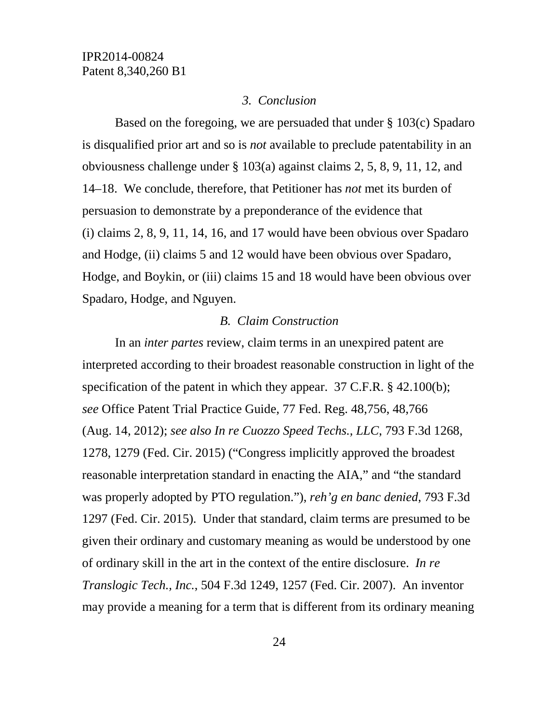### *3. Conclusion*

Based on the foregoing, we are persuaded that under § 103(c) Spadaro is disqualified prior art and so is *not* available to preclude patentability in an obviousness challenge under § 103(a) against claims 2, 5, 8, 9, 11, 12, and 14–18. We conclude, therefore, that Petitioner has *not* met its burden of persuasion to demonstrate by a preponderance of the evidence that (i) claims 2, 8, 9, 11, 14, 16, and 17 would have been obvious over Spadaro and Hodge, (ii) claims 5 and 12 would have been obvious over Spadaro, Hodge, and Boykin, or (iii) claims 15 and 18 would have been obvious over Spadaro, Hodge, and Nguyen.

### *B. Claim Construction*

In an *inter partes* review, claim terms in an unexpired patent are interpreted according to their broadest reasonable construction in light of the specification of the patent in which they appear. 37 C.F.R. § 42.100(b); *see* Office Patent Trial Practice Guide, 77 Fed. Reg. 48,756, 48,766 (Aug. 14, 2012); *see also In re Cuozzo Speed Techs., LLC*, 793 F.3d 1268, 1278, 1279 (Fed. Cir. 2015) ("Congress implicitly approved the broadest reasonable interpretation standard in enacting the AIA," and "the standard was properly adopted by PTO regulation."), *reh'g en banc denied*, 793 F.3d 1297 (Fed. Cir. 2015). Under that standard, claim terms are presumed to be given their ordinary and customary meaning as would be understood by one of ordinary skill in the art in the context of the entire disclosure. *In re Translogic Tech., Inc.*, 504 F.3d 1249, 1257 (Fed. Cir. 2007). An inventor may provide a meaning for a term that is different from its ordinary meaning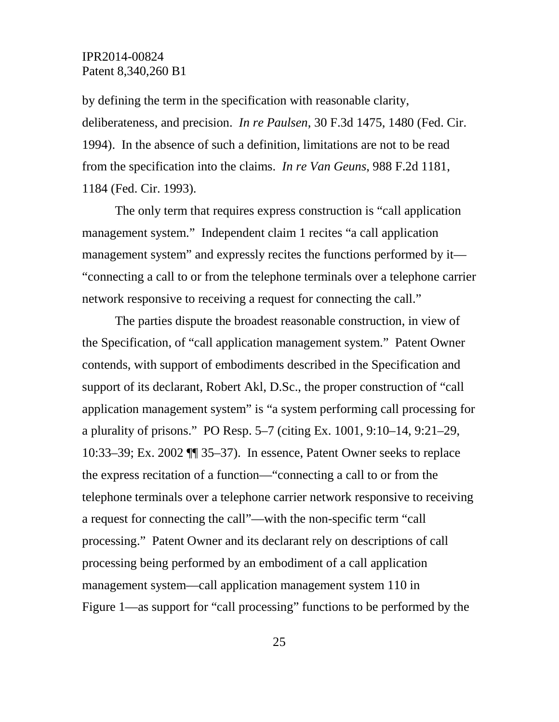by defining the term in the specification with reasonable clarity, deliberateness, and precision. *In re Paulsen*, 30 F.3d 1475, 1480 (Fed. Cir. 1994). In the absence of such a definition, limitations are not to be read from the specification into the claims. *In re Van Geuns*, 988 F.2d 1181, 1184 (Fed. Cir. 1993).

The only term that requires express construction is "call application management system." Independent claim 1 recites "a call application management system" and expressly recites the functions performed by it— "connecting a call to or from the telephone terminals over a telephone carrier network responsive to receiving a request for connecting the call."

The parties dispute the broadest reasonable construction, in view of the Specification, of "call application management system." Patent Owner contends, with support of embodiments described in the Specification and support of its declarant, Robert Akl, D.Sc., the proper construction of "call application management system" is "a system performing call processing for a plurality of prisons." PO Resp. 5–7 (citing Ex. 1001, 9:10–14, 9:21–29, 10:33–39; Ex. 2002 ¶¶ 35–37). In essence, Patent Owner seeks to replace the express recitation of a function—"connecting a call to or from the telephone terminals over a telephone carrier network responsive to receiving a request for connecting the call"—with the non-specific term "call processing." Patent Owner and its declarant rely on descriptions of call processing being performed by an embodiment of a call application management system—call application management system 110 in Figure 1—as support for "call processing" functions to be performed by the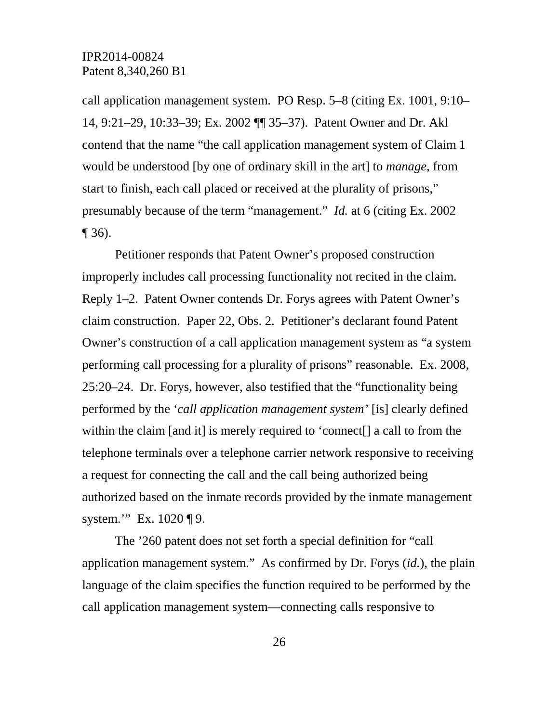call application management system. PO Resp. 5–8 (citing Ex. 1001, 9:10– 14, 9:21–29, 10:33–39; Ex. 2002 ¶¶ 35–37). Patent Owner and Dr. Akl contend that the name "the call application management system of Claim 1 would be understood [by one of ordinary skill in the art] to *manage*, from start to finish, each call placed or received at the plurality of prisons," presumably because of the term "management." *Id.* at 6 (citing Ex. 2002  $\P$  36).

Petitioner responds that Patent Owner's proposed construction improperly includes call processing functionality not recited in the claim. Reply 1–2. Patent Owner contends Dr. Forys agrees with Patent Owner's claim construction. Paper 22, Obs. 2. Petitioner's declarant found Patent Owner's construction of a call application management system as "a system performing call processing for a plurality of prisons" reasonable. Ex. 2008, 25:20–24. Dr. Forys, however, also testified that the "functionality being performed by the '*call application management system'* [is] clearly defined within the claim [and it] is merely required to 'connect[] a call to from the telephone terminals over a telephone carrier network responsive to receiving a request for connecting the call and the call being authorized being authorized based on the inmate records provided by the inmate management system." Ex. 1020 ¶ 9.

The '260 patent does not set forth a special definition for "call application management system." As confirmed by Dr. Forys (*id.*), the plain language of the claim specifies the function required to be performed by the call application management system—connecting calls responsive to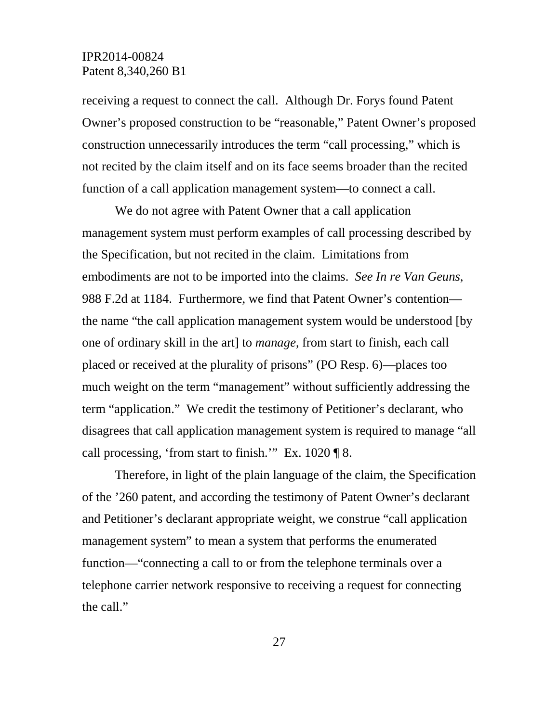receiving a request to connect the call. Although Dr. Forys found Patent Owner's proposed construction to be "reasonable," Patent Owner's proposed construction unnecessarily introduces the term "call processing," which is not recited by the claim itself and on its face seems broader than the recited function of a call application management system—to connect a call.

We do not agree with Patent Owner that a call application management system must perform examples of call processing described by the Specification, but not recited in the claim. Limitations from embodiments are not to be imported into the claims. *See In re Van Geuns*, 988 F.2d at 1184. Furthermore, we find that Patent Owner's contention the name "the call application management system would be understood [by one of ordinary skill in the art] to *manage*, from start to finish, each call placed or received at the plurality of prisons" (PO Resp. 6)—places too much weight on the term "management" without sufficiently addressing the term "application." We credit the testimony of Petitioner's declarant, who disagrees that call application management system is required to manage "all call processing, 'from start to finish.'" Ex. 1020 ¶ 8.

Therefore, in light of the plain language of the claim, the Specification of the '260 patent, and according the testimony of Patent Owner's declarant and Petitioner's declarant appropriate weight, we construe "call application management system" to mean a system that performs the enumerated function—"connecting a call to or from the telephone terminals over a telephone carrier network responsive to receiving a request for connecting the call."

27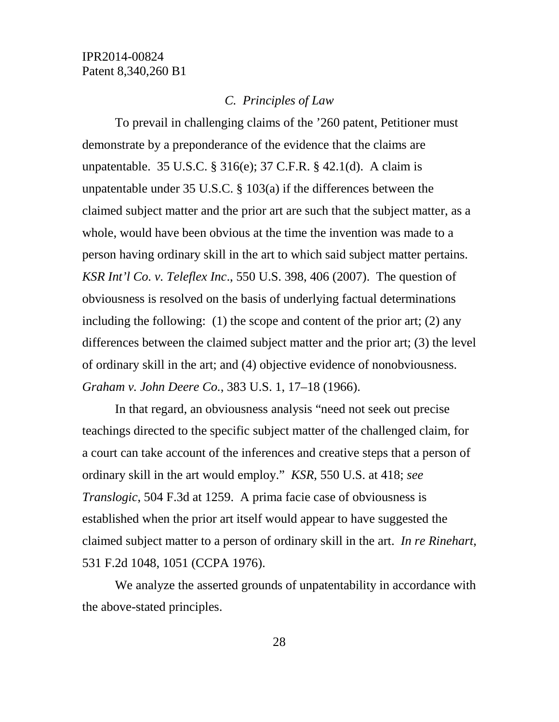#### *C. Principles of Law*

To prevail in challenging claims of the '260 patent, Petitioner must demonstrate by a preponderance of the evidence that the claims are unpatentable. 35 U.S.C. § 316(e); 37 C.F.R. § 42.1(d). A claim is unpatentable under 35 U.S.C. § 103(a) if the differences between the claimed subject matter and the prior art are such that the subject matter, as a whole, would have been obvious at the time the invention was made to a person having ordinary skill in the art to which said subject matter pertains. *KSR Int'l Co. v. Teleflex Inc*., 550 U.S. 398, 406 (2007). The question of obviousness is resolved on the basis of underlying factual determinations including the following: (1) the scope and content of the prior art; (2) any differences between the claimed subject matter and the prior art; (3) the level of ordinary skill in the art; and (4) objective evidence of nonobviousness. *Graham v. John Deere Co.*, 383 U.S. 1, 17–18 (1966).

In that regard, an obviousness analysis "need not seek out precise teachings directed to the specific subject matter of the challenged claim, for a court can take account of the inferences and creative steps that a person of ordinary skill in the art would employ." *KSR*, 550 U.S. at 418; *see Translogic*, 504 F.3d at 1259. A prima facie case of obviousness is established when the prior art itself would appear to have suggested the claimed subject matter to a person of ordinary skill in the art. *In re Rinehart*, 531 F.2d 1048, 1051 (CCPA 1976).

We analyze the asserted grounds of unpatentability in accordance with the above-stated principles.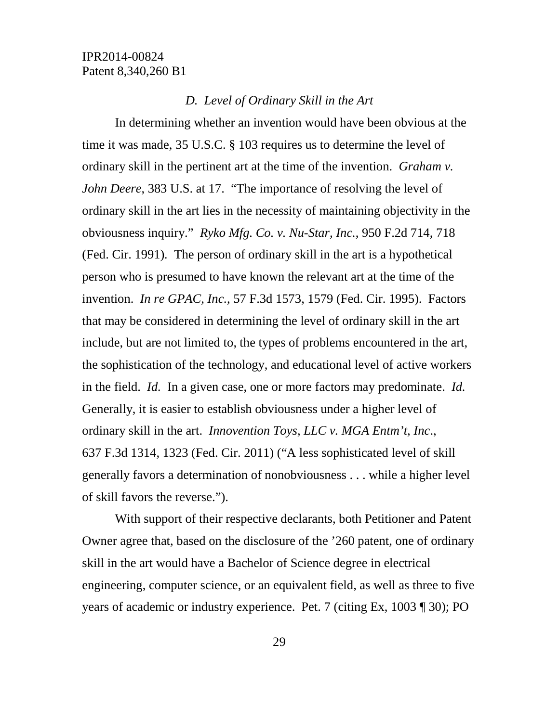### *D. Level of Ordinary Skill in the Art*

In determining whether an invention would have been obvious at the time it was made, 35 U.S.C. § 103 requires us to determine the level of ordinary skill in the pertinent art at the time of the invention. *Graham v. John Deere*, 383 U.S. at 17. "The importance of resolving the level of ordinary skill in the art lies in the necessity of maintaining objectivity in the obviousness inquiry." *Ryko Mfg. Co. v. Nu-Star, Inc.*, 950 F.2d 714, 718 (Fed. Cir. 1991)*.* The person of ordinary skill in the art is a hypothetical person who is presumed to have known the relevant art at the time of the invention. *In re GPAC, Inc.*, 57 F.3d 1573, 1579 (Fed. Cir. 1995). Factors that may be considered in determining the level of ordinary skill in the art include, but are not limited to, the types of problems encountered in the art, the sophistication of the technology, and educational level of active workers in the field. *Id.* In a given case, one or more factors may predominate. *Id.*  Generally, it is easier to establish obviousness under a higher level of ordinary skill in the art. *Innovention Toys, LLC v. MGA Entm't, Inc*., 637 F.3d 1314, 1323 (Fed. Cir. 2011) ("A less sophisticated level of skill generally favors a determination of nonobviousness . . . while a higher level of skill favors the reverse.").

With support of their respective declarants, both Petitioner and Patent Owner agree that, based on the disclosure of the '260 patent, one of ordinary skill in the art would have a Bachelor of Science degree in electrical engineering, computer science, or an equivalent field, as well as three to five years of academic or industry experience. Pet. 7 (citing Ex, 1003 ¶ 30); PO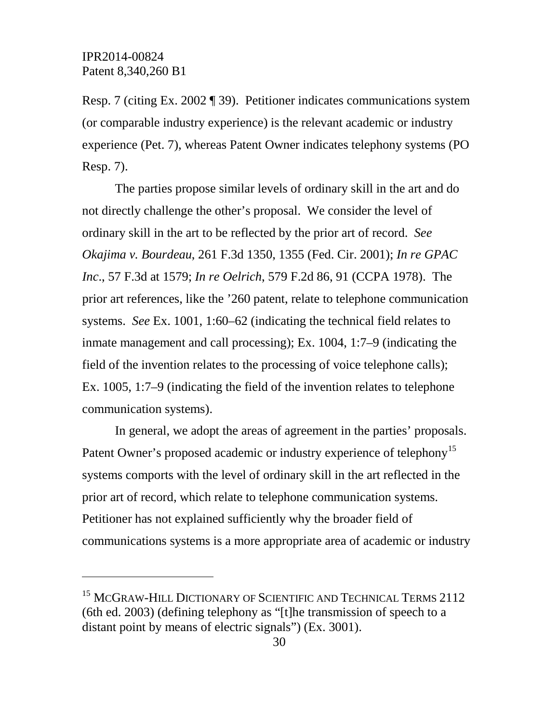$\overline{a}$ 

Resp. 7 (citing Ex. 2002 ¶ 39). Petitioner indicates communications system (or comparable industry experience) is the relevant academic or industry experience (Pet. 7), whereas Patent Owner indicates telephony systems (PO Resp. 7).

The parties propose similar levels of ordinary skill in the art and do not directly challenge the other's proposal. We consider the level of ordinary skill in the art to be reflected by the prior art of record. *See Okajima v. Bourdeau*, 261 F.3d 1350, 1355 (Fed. Cir. 2001); *In re GPAC Inc*., 57 F.3d at 1579; *In re Oelrich*, 579 F.2d 86, 91 (CCPA 1978). The prior art references, like the '260 patent, relate to telephone communication systems. *See* Ex. 1001, 1:60–62 (indicating the technical field relates to inmate management and call processing); Ex. 1004, 1:7–9 (indicating the field of the invention relates to the processing of voice telephone calls); Ex. 1005, 1:7–9 (indicating the field of the invention relates to telephone communication systems).

In general, we adopt the areas of agreement in the parties' proposals. Patent Owner's proposed academic or industry experience of telephony<sup>[15](#page-29-0)</sup> systems comports with the level of ordinary skill in the art reflected in the prior art of record, which relate to telephone communication systems. Petitioner has not explained sufficiently why the broader field of communications systems is a more appropriate area of academic or industry

<span id="page-29-0"></span><sup>&</sup>lt;sup>15</sup> MCGRAW-HILL DICTIONARY OF SCIENTIFIC AND TECHNICAL TERMS 2112 (6th ed. 2003) (defining telephony as "[t]he transmission of speech to a distant point by means of electric signals") (Ex. 3001).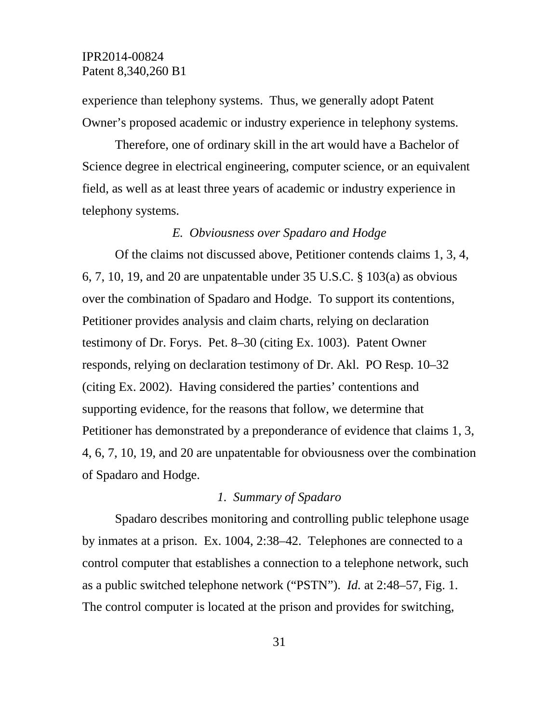experience than telephony systems. Thus, we generally adopt Patent Owner's proposed academic or industry experience in telephony systems.

Therefore, one of ordinary skill in the art would have a Bachelor of Science degree in electrical engineering, computer science, or an equivalent field, as well as at least three years of academic or industry experience in telephony systems.

### *E. Obviousness over Spadaro and Hodge*

Of the claims not discussed above, Petitioner contends claims 1, 3, 4, 6, 7, 10, 19, and 20 are unpatentable under 35 U.S.C. § 103(a) as obvious over the combination of Spadaro and Hodge. To support its contentions, Petitioner provides analysis and claim charts, relying on declaration testimony of Dr. Forys. Pet. 8–30 (citing Ex. 1003). Patent Owner responds, relying on declaration testimony of Dr. Akl. PO Resp. 10–32 (citing Ex. 2002). Having considered the parties' contentions and supporting evidence, for the reasons that follow, we determine that Petitioner has demonstrated by a preponderance of evidence that claims 1, 3, 4, 6, 7, 10, 19, and 20 are unpatentable for obviousness over the combination of Spadaro and Hodge.

### *1. Summary of Spadaro*

Spadaro describes monitoring and controlling public telephone usage by inmates at a prison. Ex. 1004, 2:38–42. Telephones are connected to a control computer that establishes a connection to a telephone network, such as a public switched telephone network ("PSTN"). *Id.* at 2:48–57, Fig. 1. The control computer is located at the prison and provides for switching,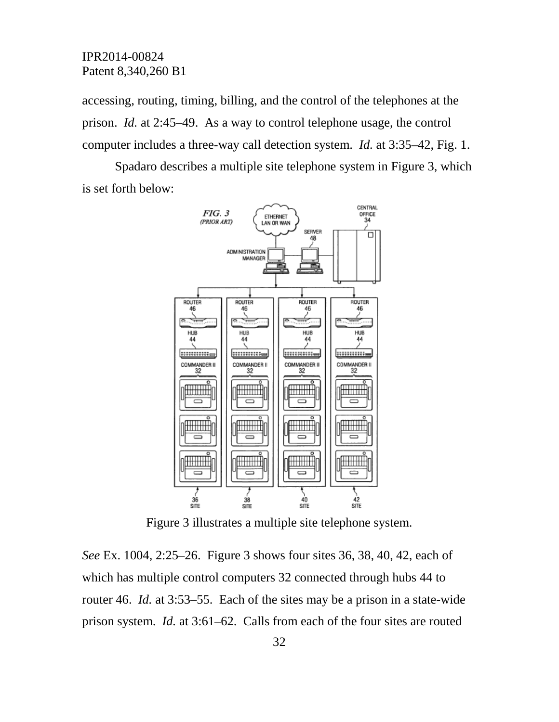accessing, routing, timing, billing, and the control of the telephones at the prison. *Id.* at 2:45–49. As a way to control telephone usage, the control computer includes a three-way call detection system. *Id.* at 3:35–42, Fig. 1.

Spadaro describes a multiple site telephone system in Figure 3, which is set forth below:



Figure 3 illustrates a multiple site telephone system.

*See* Ex. 1004, 2:25–26. Figure 3 shows four sites 36, 38, 40, 42, each of which has multiple control computers 32 connected through hubs 44 to router 46. *Id.* at 3:53–55. Each of the sites may be a prison in a state-wide prison system. *Id.* at 3:61–62. Calls from each of the four sites are routed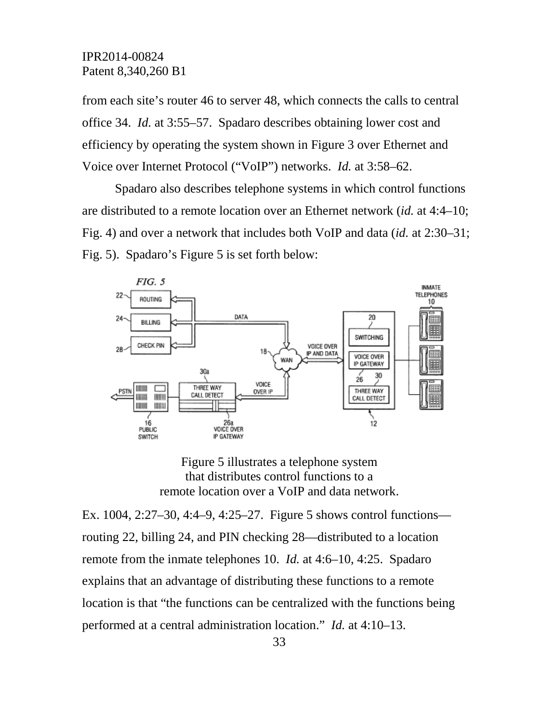from each site's router 46 to server 48, which connects the calls to central office 34. *Id.* at 3:55–57. Spadaro describes obtaining lower cost and efficiency by operating the system shown in Figure 3 over Ethernet and Voice over Internet Protocol ("VoIP") networks. *Id.* at 3:58–62.

Spadaro also describes telephone systems in which control functions are distributed to a remote location over an Ethernet network (*id.* at 4:4–10; Fig. 4) and over a network that includes both VoIP and data (*id.* at 2:30–31; Fig. 5). Spadaro's Figure 5 is set forth below:



Figure 5 illustrates a telephone system that distributes control functions to a remote location over a VoIP and data network.

Ex. 1004, 2:27–30, 4:4–9, 4:25–27. Figure 5 shows control functions routing 22, billing 24, and PIN checking 28—distributed to a location remote from the inmate telephones 10. *Id.* at 4:6–10, 4:25. Spadaro explains that an advantage of distributing these functions to a remote location is that "the functions can be centralized with the functions being performed at a central administration location." *Id.* at 4:10–13.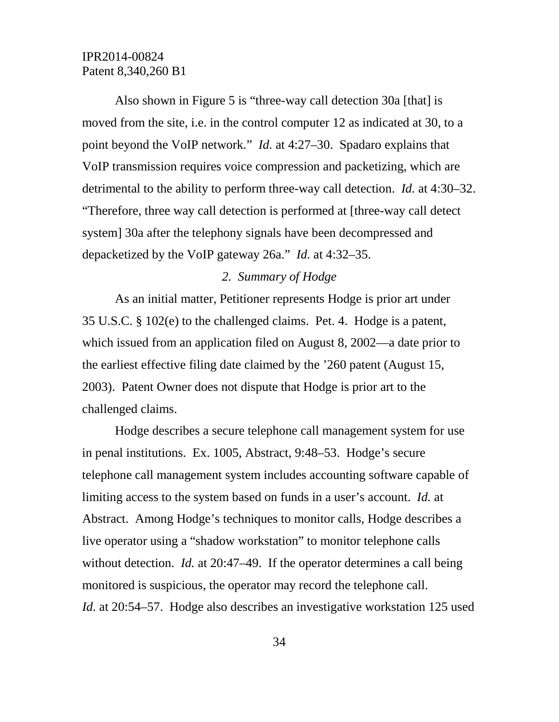Also shown in Figure 5 is "three-way call detection 30a [that] is moved from the site, i.e. in the control computer 12 as indicated at 30, to a point beyond the VoIP network." *Id.* at 4:27–30. Spadaro explains that VoIP transmission requires voice compression and packetizing, which are detrimental to the ability to perform three-way call detection. *Id.* at 4:30–32. "Therefore, three way call detection is performed at [three-way call detect system] 30a after the telephony signals have been decompressed and depacketized by the VoIP gateway 26a." *Id.* at 4:32–35.

### *2. Summary of Hodge*

As an initial matter, Petitioner represents Hodge is prior art under 35 U.S.C. § 102(e) to the challenged claims. Pet. 4. Hodge is a patent, which issued from an application filed on August 8, 2002—a date prior to the earliest effective filing date claimed by the '260 patent (August 15, 2003). Patent Owner does not dispute that Hodge is prior art to the challenged claims.

Hodge describes a secure telephone call management system for use in penal institutions. Ex. 1005, Abstract, 9:48–53. Hodge's secure telephone call management system includes accounting software capable of limiting access to the system based on funds in a user's account. *Id.* at Abstract. Among Hodge's techniques to monitor calls, Hodge describes a live operator using a "shadow workstation" to monitor telephone calls without detection. *Id.* at 20:47–49. If the operator determines a call being monitored is suspicious, the operator may record the telephone call. *Id.* at 20:54–57. Hodge also describes an investigative workstation 125 used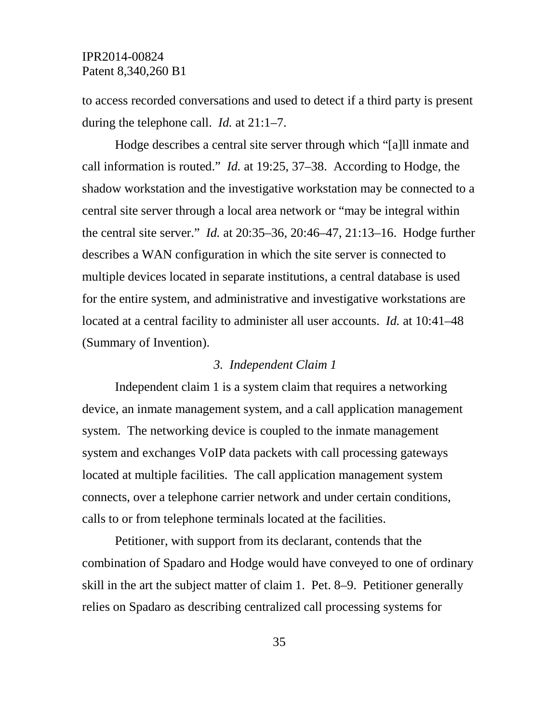to access recorded conversations and used to detect if a third party is present during the telephone call. *Id.* at 21:1–7.

Hodge describes a central site server through which "[a]ll inmate and call information is routed." *Id.* at 19:25, 37–38. According to Hodge, the shadow workstation and the investigative workstation may be connected to a central site server through a local area network or "may be integral within the central site server." *Id.* at 20:35–36, 20:46–47, 21:13–16. Hodge further describes a WAN configuration in which the site server is connected to multiple devices located in separate institutions, a central database is used for the entire system, and administrative and investigative workstations are located at a central facility to administer all user accounts. *Id.* at 10:41–48 (Summary of Invention).

#### *3. Independent Claim 1*

Independent claim 1 is a system claim that requires a networking device, an inmate management system, and a call application management system. The networking device is coupled to the inmate management system and exchanges VoIP data packets with call processing gateways located at multiple facilities. The call application management system connects, over a telephone carrier network and under certain conditions, calls to or from telephone terminals located at the facilities.

Petitioner, with support from its declarant, contends that the combination of Spadaro and Hodge would have conveyed to one of ordinary skill in the art the subject matter of claim 1. Pet. 8–9. Petitioner generally relies on Spadaro as describing centralized call processing systems for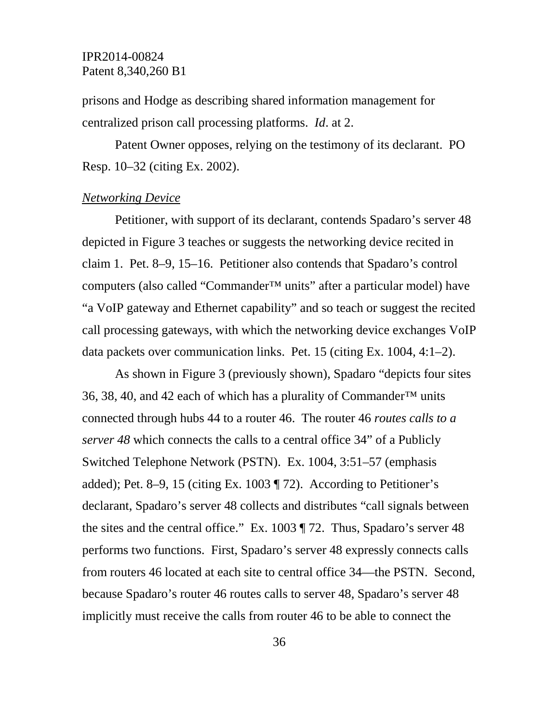prisons and Hodge as describing shared information management for centralized prison call processing platforms. *Id*. at 2.

Patent Owner opposes, relying on the testimony of its declarant. PO Resp. 10–32 (citing Ex. 2002).

#### *Networking Device*

Petitioner, with support of its declarant, contends Spadaro's server 48 depicted in Figure 3 teaches or suggests the networking device recited in claim 1. Pet. 8–9, 15–16. Petitioner also contends that Spadaro's control computers (also called "Commander™ units" after a particular model) have "a VoIP gateway and Ethernet capability" and so teach or suggest the recited call processing gateways, with which the networking device exchanges VoIP data packets over communication links. Pet. 15 (citing Ex. 1004, 4:1–2).

As shown in Figure 3 (previously shown), Spadaro "depicts four sites 36, 38, 40, and 42 each of which has a plurality of Commander<sup>™</sup> units connected through hubs 44 to a router 46. The router 46 *routes calls to a server 48* which connects the calls to a central office 34" of a Publicly Switched Telephone Network (PSTN). Ex. 1004, 3:51–57 (emphasis added); Pet. 8–9, 15 (citing Ex. 1003 ¶ 72). According to Petitioner's declarant, Spadaro's server 48 collects and distributes "call signals between the sites and the central office." Ex. 1003 ¶ 72. Thus, Spadaro's server 48 performs two functions. First, Spadaro's server 48 expressly connects calls from routers 46 located at each site to central office 34—the PSTN. Second, because Spadaro's router 46 routes calls to server 48, Spadaro's server 48 implicitly must receive the calls from router 46 to be able to connect the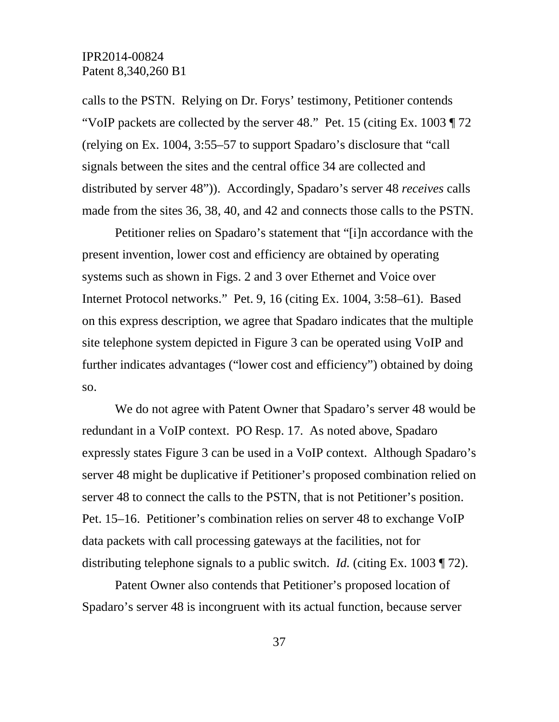calls to the PSTN. Relying on Dr. Forys' testimony, Petitioner contends "VoIP packets are collected by the server 48." Pet. 15 (citing Ex. 1003  $\P$  72) (relying on Ex. 1004, 3:55–57 to support Spadaro's disclosure that "call signals between the sites and the central office 34 are collected and distributed by server 48")). Accordingly, Spadaro's server 48 *receives* calls made from the sites 36, 38, 40, and 42 and connects those calls to the PSTN.

Petitioner relies on Spadaro's statement that "[i]n accordance with the present invention, lower cost and efficiency are obtained by operating systems such as shown in Figs. 2 and 3 over Ethernet and Voice over Internet Protocol networks." Pet. 9, 16 (citing Ex. 1004, 3:58–61). Based on this express description, we agree that Spadaro indicates that the multiple site telephone system depicted in Figure 3 can be operated using VoIP and further indicates advantages ("lower cost and efficiency") obtained by doing so.

We do not agree with Patent Owner that Spadaro's server 48 would be redundant in a VoIP context. PO Resp. 17. As noted above, Spadaro expressly states Figure 3 can be used in a VoIP context. Although Spadaro's server 48 might be duplicative if Petitioner's proposed combination relied on server 48 to connect the calls to the PSTN, that is not Petitioner's position. Pet. 15–16. Petitioner's combination relies on server 48 to exchange VoIP data packets with call processing gateways at the facilities, not for distributing telephone signals to a public switch. *Id.* (citing Ex. 1003 ¶ 72).

Patent Owner also contends that Petitioner's proposed location of Spadaro's server 48 is incongruent with its actual function, because server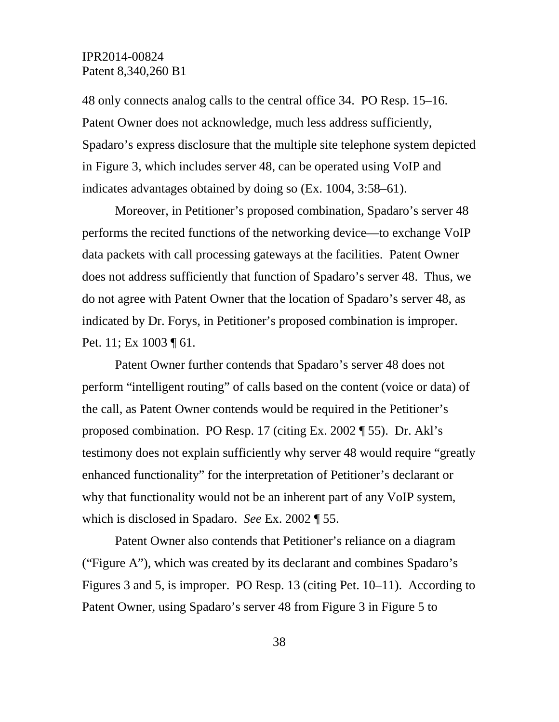48 only connects analog calls to the central office 34. PO Resp. 15–16. Patent Owner does not acknowledge, much less address sufficiently, Spadaro's express disclosure that the multiple site telephone system depicted in Figure 3, which includes server 48, can be operated using VoIP and indicates advantages obtained by doing so (Ex. 1004, 3:58–61).

Moreover, in Petitioner's proposed combination, Spadaro's server 48 performs the recited functions of the networking device—to exchange VoIP data packets with call processing gateways at the facilities. Patent Owner does not address sufficiently that function of Spadaro's server 48. Thus, we do not agree with Patent Owner that the location of Spadaro's server 48, as indicated by Dr. Forys, in Petitioner's proposed combination is improper. Pet. 11; Ex 1003 ¶ 61.

Patent Owner further contends that Spadaro's server 48 does not perform "intelligent routing" of calls based on the content (voice or data) of the call, as Patent Owner contends would be required in the Petitioner's proposed combination. PO Resp. 17 (citing Ex. 2002 ¶ 55). Dr. Akl's testimony does not explain sufficiently why server 48 would require "greatly enhanced functionality" for the interpretation of Petitioner's declarant or why that functionality would not be an inherent part of any VoIP system, which is disclosed in Spadaro. *See* Ex. 2002 ¶ 55.

Patent Owner also contends that Petitioner's reliance on a diagram ("Figure A"), which was created by its declarant and combines Spadaro's Figures 3 and 5, is improper. PO Resp. 13 (citing Pet. 10–11). According to Patent Owner, using Spadaro's server 48 from Figure 3 in Figure 5 to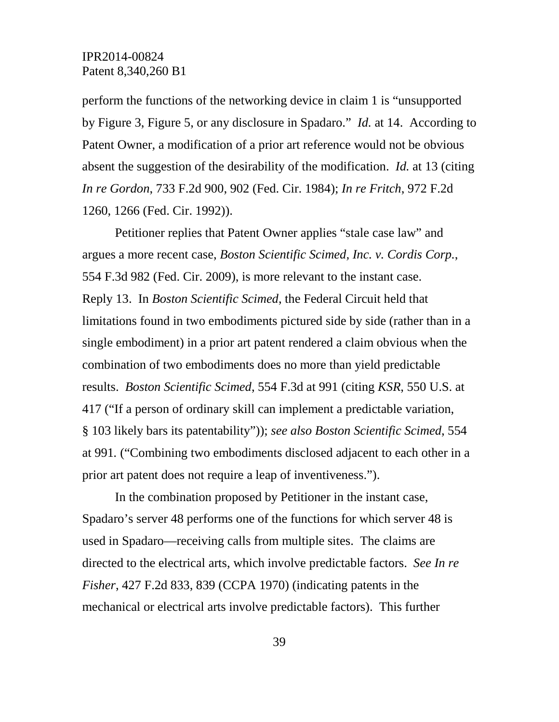perform the functions of the networking device in claim 1 is "unsupported by Figure 3, Figure 5, or any disclosure in Spadaro." *Id.* at 14. According to Patent Owner, a modification of a prior art reference would not be obvious absent the suggestion of the desirability of the modification. *Id.* at 13 (citing *In re Gordon*, 733 F.2d 900, 902 (Fed. Cir. 1984); *In re Fritch*, 972 F.2d 1260, 1266 (Fed. Cir. 1992)).

Petitioner replies that Patent Owner applies "stale case law" and argues a more recent case, *Boston Scientific Scimed, Inc. v. Cordis Corp.*, 554 F.3d 982 (Fed. Cir. 2009), is more relevant to the instant case. Reply 13. In *Boston Scientific Scimed*, the Federal Circuit held that limitations found in two embodiments pictured side by side (rather than in a single embodiment) in a prior art patent rendered a claim obvious when the combination of two embodiments does no more than yield predictable results. *Boston Scientific Scimed*, 554 F.3d at 991 (citing *KSR*, 550 U.S. at 417 ("If a person of ordinary skill can implement a predictable variation, § 103 likely bars its patentability")); *see also Boston Scientific Scimed*, 554 at 991*.* ("Combining two embodiments disclosed adjacent to each other in a prior art patent does not require a leap of inventiveness.").

In the combination proposed by Petitioner in the instant case, Spadaro's server 48 performs one of the functions for which server 48 is used in Spadaro—receiving calls from multiple sites. The claims are directed to the electrical arts, which involve predictable factors. *See In re Fisher*, 427 F.2d 833, 839 (CCPA 1970) (indicating patents in the mechanical or electrical arts involve predictable factors). This further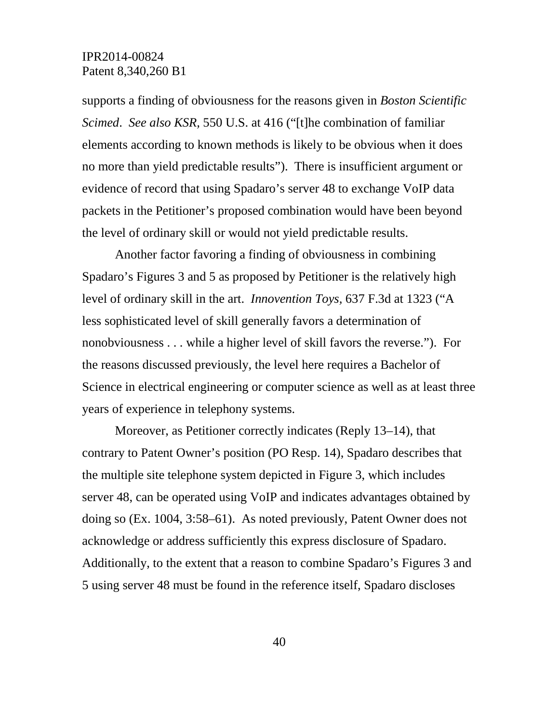supports a finding of obviousness for the reasons given in *Boston Scientific Scimed*. *See also KSR,* 550 U.S. at 416 ("[t]he combination of familiar elements according to known methods is likely to be obvious when it does no more than yield predictable results"). There is insufficient argument or evidence of record that using Spadaro's server 48 to exchange VoIP data packets in the Petitioner's proposed combination would have been beyond the level of ordinary skill or would not yield predictable results.

Another factor favoring a finding of obviousness in combining Spadaro's Figures 3 and 5 as proposed by Petitioner is the relatively high level of ordinary skill in the art. *Innovention Toys,* 637 F.3d at 1323 ("A less sophisticated level of skill generally favors a determination of nonobviousness . . . while a higher level of skill favors the reverse."). For the reasons discussed previously, the level here requires a Bachelor of Science in electrical engineering or computer science as well as at least three years of experience in telephony systems.

Moreover, as Petitioner correctly indicates (Reply 13–14), that contrary to Patent Owner's position (PO Resp. 14), Spadaro describes that the multiple site telephone system depicted in Figure 3, which includes server 48, can be operated using VoIP and indicates advantages obtained by doing so (Ex. 1004, 3:58–61). As noted previously, Patent Owner does not acknowledge or address sufficiently this express disclosure of Spadaro. Additionally, to the extent that a reason to combine Spadaro's Figures 3 and 5 using server 48 must be found in the reference itself, Spadaro discloses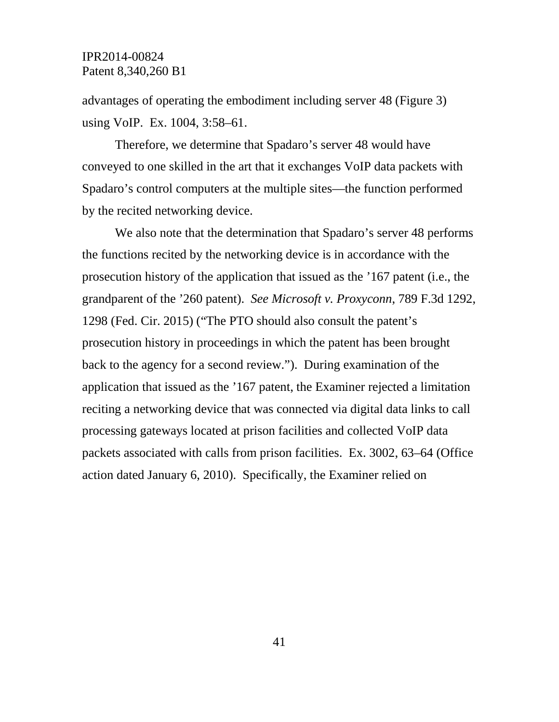advantages of operating the embodiment including server 48 (Figure 3) using VoIP. Ex. 1004, 3:58–61.

Therefore, we determine that Spadaro's server 48 would have conveyed to one skilled in the art that it exchanges VoIP data packets with Spadaro's control computers at the multiple sites—the function performed by the recited networking device.

We also note that the determination that Spadaro's server 48 performs the functions recited by the networking device is in accordance with the prosecution history of the application that issued as the '167 patent (i.e., the grandparent of the '260 patent). *See Microsoft v. Proxyconn*, 789 F.3d 1292, 1298 (Fed. Cir. 2015) ("The PTO should also consult the patent's prosecution history in proceedings in which the patent has been brought back to the agency for a second review."). During examination of the application that issued as the '167 patent, the Examiner rejected a limitation reciting a networking device that was connected via digital data links to call processing gateways located at prison facilities and collected VoIP data packets associated with calls from prison facilities. Ex. 3002, 63–64 (Office action dated January 6, 2010). Specifically, the Examiner relied on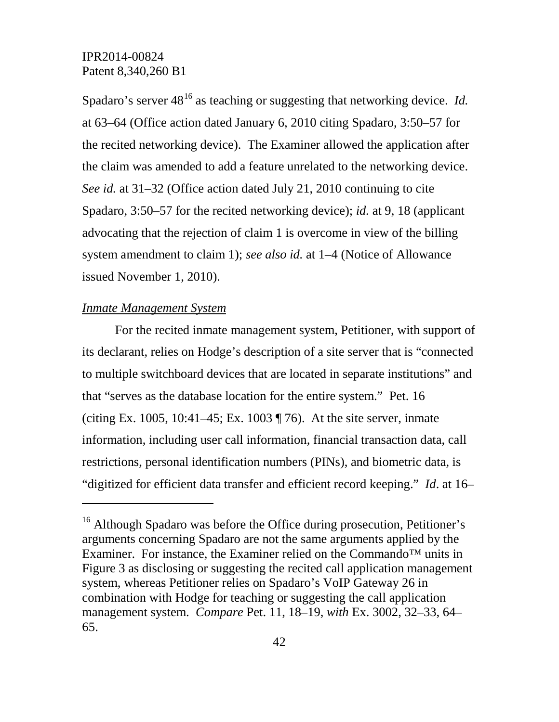Spadaro's server  $48^{16}$  $48^{16}$  $48^{16}$  as teaching or suggesting that networking device. *Id.* at 63–64 (Office action dated January 6, 2010 citing Spadaro, 3:50–57 for the recited networking device). The Examiner allowed the application after the claim was amended to add a feature unrelated to the networking device. *See id.* at 31–32 (Office action dated July 21, 2010 continuing to cite Spadaro, 3:50–57 for the recited networking device); *id.* at 9, 18 (applicant advocating that the rejection of claim 1 is overcome in view of the billing system amendment to claim 1); *see also id.* at 1–4 (Notice of Allowance issued November 1, 2010).

### *Inmate Management System*

 $\overline{a}$ 

For the recited inmate management system, Petitioner, with support of its declarant, relies on Hodge's description of a site server that is "connected to multiple switchboard devices that are located in separate institutions" and that "serves as the database location for the entire system." Pet. 16 (citing Ex. 1005, 10:41–45; Ex. 1003 ¶ 76). At the site server, inmate information, including user call information, financial transaction data, call restrictions, personal identification numbers (PINs), and biometric data, is "digitized for efficient data transfer and efficient record keeping." *Id*. at 16–

<span id="page-41-0"></span><sup>&</sup>lt;sup>16</sup> Although Spadaro was before the Office during prosecution, Petitioner's arguments concerning Spadaro are not the same arguments applied by the Examiner. For instance, the Examiner relied on the Commando™ units in Figure 3 as disclosing or suggesting the recited call application management system, whereas Petitioner relies on Spadaro's VoIP Gateway 26 in combination with Hodge for teaching or suggesting the call application management system. *Compare* Pet. 11, 18–19, *with* Ex. 3002, 32–33, 64– 65.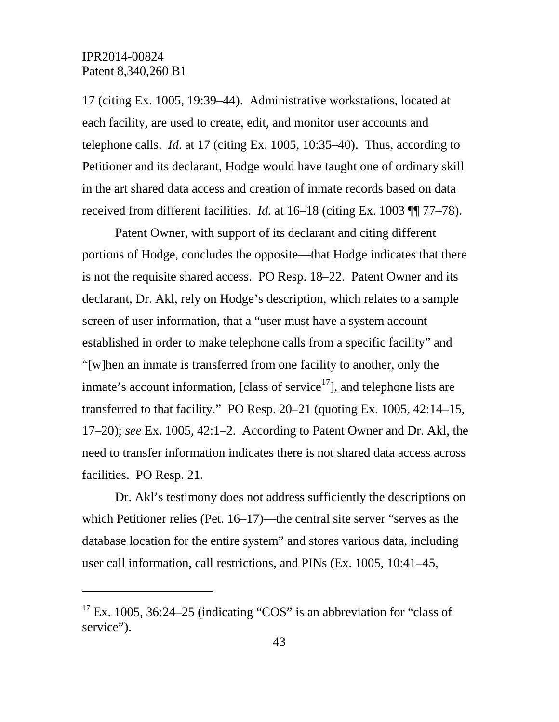$\overline{a}$ 

17 (citing Ex. 1005, 19:39–44). Administrative workstations, located at each facility, are used to create, edit, and monitor user accounts and telephone calls. *Id*. at 17 (citing Ex. 1005, 10:35–40). Thus, according to Petitioner and its declarant, Hodge would have taught one of ordinary skill in the art shared data access and creation of inmate records based on data received from different facilities. *Id.* at 16–18 (citing Ex. 1003 ¶¶ 77–78).

Patent Owner, with support of its declarant and citing different portions of Hodge, concludes the opposite—that Hodge indicates that there is not the requisite shared access. PO Resp. 18–22. Patent Owner and its declarant, Dr. Akl, rely on Hodge's description, which relates to a sample screen of user information, that a "user must have a system account established in order to make telephone calls from a specific facility" and "[w]hen an inmate is transferred from one facility to another, only the inmate's account information, [class of service $17$ ], and telephone lists are transferred to that facility." PO Resp. 20–21 (quoting Ex. 1005, 42:14–15, 17–20); *see* Ex. 1005, 42:1–2. According to Patent Owner and Dr. Akl, the need to transfer information indicates there is not shared data access across facilities. PO Resp. 21.

Dr. Akl's testimony does not address sufficiently the descriptions on which Petitioner relies (Pet. 16–17)—the central site server "serves as the database location for the entire system" and stores various data, including user call information, call restrictions, and PINs (Ex. 1005, 10:41–45,

<span id="page-42-0"></span> $17$  Ex. 1005, 36:24–25 (indicating "COS" is an abbreviation for "class of service").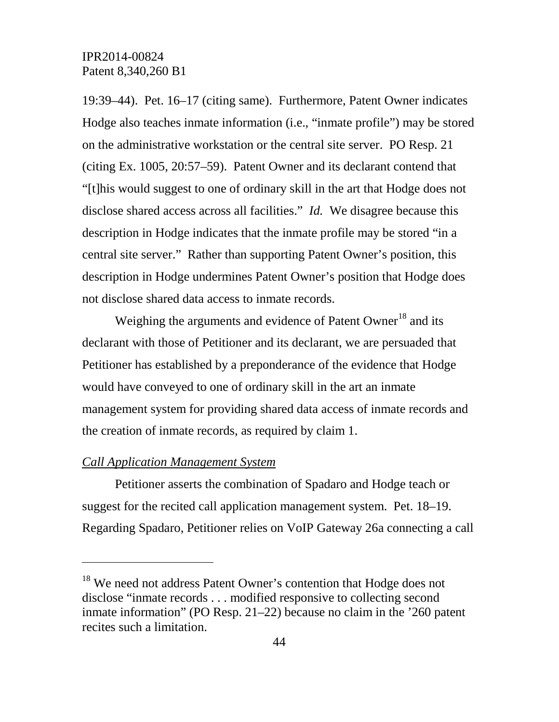19:39–44). Pet. 16–17 (citing same). Furthermore, Patent Owner indicates Hodge also teaches inmate information (i.e., "inmate profile") may be stored on the administrative workstation or the central site server. PO Resp. 21 (citing Ex. 1005, 20:57–59). Patent Owner and its declarant contend that "[t]his would suggest to one of ordinary skill in the art that Hodge does not disclose shared access across all facilities." *Id.* We disagree because this description in Hodge indicates that the inmate profile may be stored "in a central site server." Rather than supporting Patent Owner's position, this description in Hodge undermines Patent Owner's position that Hodge does not disclose shared data access to inmate records.

Weighing the arguments and evidence of Patent Owner<sup>[18](#page-43-0)</sup> and its declarant with those of Petitioner and its declarant, we are persuaded that Petitioner has established by a preponderance of the evidence that Hodge would have conveyed to one of ordinary skill in the art an inmate management system for providing shared data access of inmate records and the creation of inmate records, as required by claim 1.

### *Call Application Management System*

 $\overline{a}$ 

Petitioner asserts the combination of Spadaro and Hodge teach or suggest for the recited call application management system. Pet. 18–19. Regarding Spadaro, Petitioner relies on VoIP Gateway 26a connecting a call

<span id="page-43-0"></span><sup>&</sup>lt;sup>18</sup> We need not address Patent Owner's contention that Hodge does not disclose "inmate records . . . modified responsive to collecting second inmate information" (PO Resp. 21–22) because no claim in the '260 patent recites such a limitation.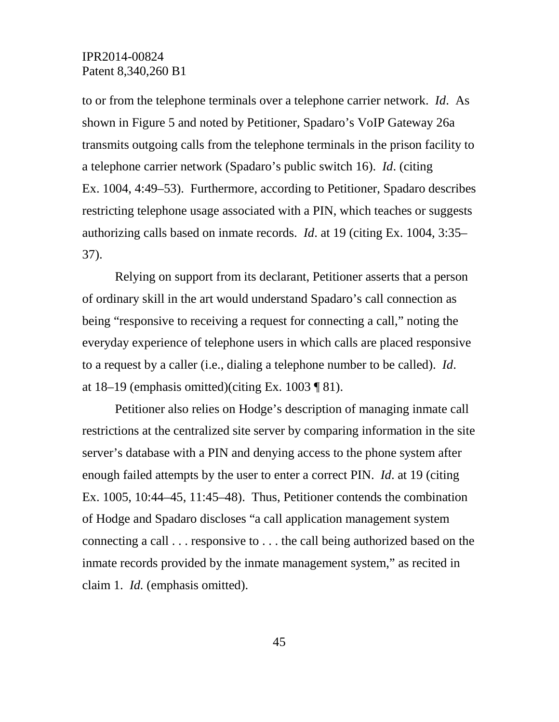to or from the telephone terminals over a telephone carrier network. *Id*. As shown in Figure 5 and noted by Petitioner, Spadaro's VoIP Gateway 26a transmits outgoing calls from the telephone terminals in the prison facility to a telephone carrier network (Spadaro's public switch 16). *Id*. (citing Ex. 1004, 4:49–53). Furthermore, according to Petitioner, Spadaro describes restricting telephone usage associated with a PIN, which teaches or suggests authorizing calls based on inmate records. *Id*. at 19 (citing Ex. 1004, 3:35– 37).

Relying on support from its declarant, Petitioner asserts that a person of ordinary skill in the art would understand Spadaro's call connection as being "responsive to receiving a request for connecting a call," noting the everyday experience of telephone users in which calls are placed responsive to a request by a caller (i.e., dialing a telephone number to be called). *Id*. at  $18-19$  (emphasis omitted)(citing Ex. 1003 ¶ 81).

Petitioner also relies on Hodge's description of managing inmate call restrictions at the centralized site server by comparing information in the site server's database with a PIN and denying access to the phone system after enough failed attempts by the user to enter a correct PIN. *Id*. at 19 (citing Ex. 1005, 10:44–45, 11:45–48). Thus, Petitioner contends the combination of Hodge and Spadaro discloses "a call application management system connecting a call . . . responsive to . . . the call being authorized based on the inmate records provided by the inmate management system," as recited in claim 1. *Id.* (emphasis omitted).

45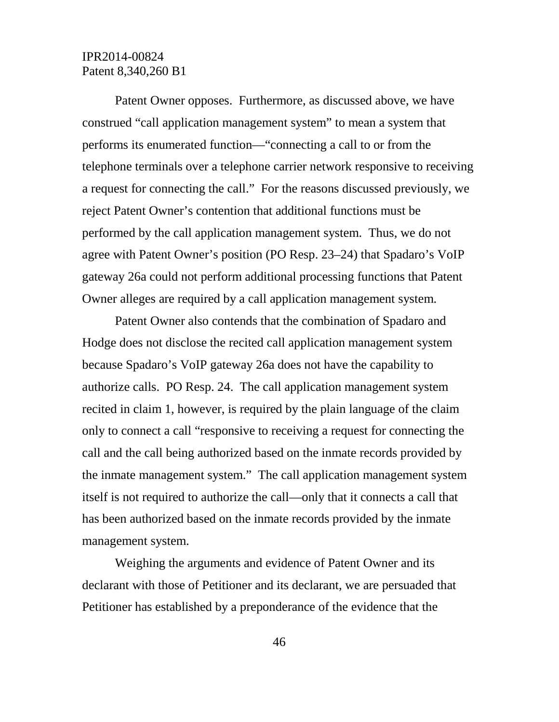Patent Owner opposes. Furthermore, as discussed above, we have construed "call application management system" to mean a system that performs its enumerated function—"connecting a call to or from the telephone terminals over a telephone carrier network responsive to receiving a request for connecting the call." For the reasons discussed previously, we reject Patent Owner's contention that additional functions must be performed by the call application management system. Thus, we do not agree with Patent Owner's position (PO Resp. 23–24) that Spadaro's VoIP gateway 26a could not perform additional processing functions that Patent Owner alleges are required by a call application management system.

Patent Owner also contends that the combination of Spadaro and Hodge does not disclose the recited call application management system because Spadaro's VoIP gateway 26a does not have the capability to authorize calls. PO Resp. 24. The call application management system recited in claim 1, however, is required by the plain language of the claim only to connect a call "responsive to receiving a request for connecting the call and the call being authorized based on the inmate records provided by the inmate management system." The call application management system itself is not required to authorize the call—only that it connects a call that has been authorized based on the inmate records provided by the inmate management system.

Weighing the arguments and evidence of Patent Owner and its declarant with those of Petitioner and its declarant, we are persuaded that Petitioner has established by a preponderance of the evidence that the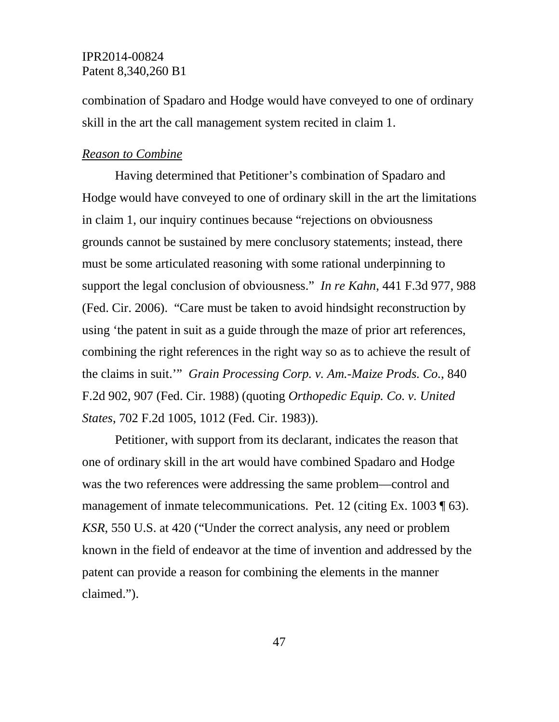combination of Spadaro and Hodge would have conveyed to one of ordinary skill in the art the call management system recited in claim 1.

#### *Reason to Combine*

Having determined that Petitioner's combination of Spadaro and Hodge would have conveyed to one of ordinary skill in the art the limitations in claim 1, our inquiry continues because "rejections on obviousness grounds cannot be sustained by mere conclusory statements; instead, there must be some articulated reasoning with some rational underpinning to support the legal conclusion of obviousness." *In re Kahn*, 441 F.3d 977, 988 (Fed. Cir. 2006). "Care must be taken to avoid hindsight reconstruction by using 'the patent in suit as a guide through the maze of prior art references, combining the right references in the right way so as to achieve the result of the claims in suit.'" *Grain Processing Corp. v. Am.-Maize Prods. Co.*, 840 F.2d 902, 907 (Fed. Cir. 1988) (quoting *Orthopedic Equip. Co. v. United States*, 702 F.2d 1005, 1012 (Fed. Cir. 1983)).

Petitioner, with support from its declarant, indicates the reason that one of ordinary skill in the art would have combined Spadaro and Hodge was the two references were addressing the same problem—control and management of inmate telecommunications. Pet. 12 (citing Ex. 1003 ¶ 63). *KSR*, 550 U.S. at 420 ("Under the correct analysis, any need or problem known in the field of endeavor at the time of invention and addressed by the patent can provide a reason for combining the elements in the manner claimed.").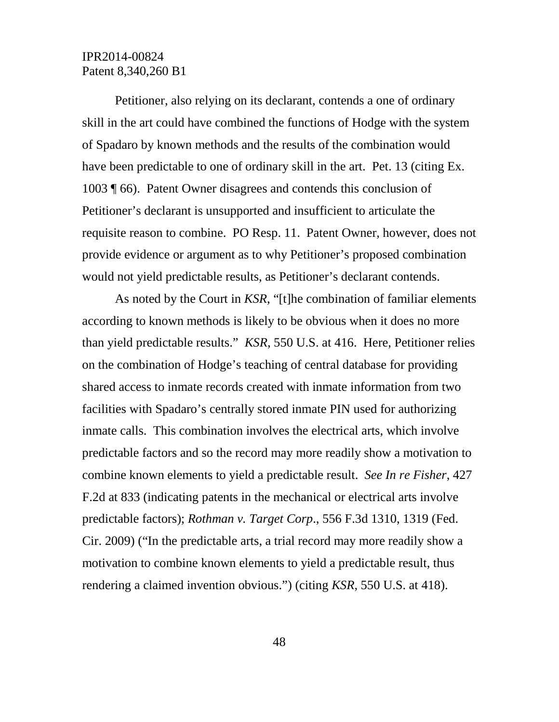Petitioner, also relying on its declarant, contends a one of ordinary skill in the art could have combined the functions of Hodge with the system of Spadaro by known methods and the results of the combination would have been predictable to one of ordinary skill in the art. Pet. 13 (citing Ex. 1003 ¶ 66). Patent Owner disagrees and contends this conclusion of Petitioner's declarant is unsupported and insufficient to articulate the requisite reason to combine. PO Resp. 11. Patent Owner, however, does not provide evidence or argument as to why Petitioner's proposed combination would not yield predictable results, as Petitioner's declarant contends.

As noted by the Court in *KSR*, "[t]he combination of familiar elements according to known methods is likely to be obvious when it does no more than yield predictable results." *KSR*, 550 U.S. at 416. Here, Petitioner relies on the combination of Hodge's teaching of central database for providing shared access to inmate records created with inmate information from two facilities with Spadaro's centrally stored inmate PIN used for authorizing inmate calls. This combination involves the electrical arts, which involve predictable factors and so the record may more readily show a motivation to combine known elements to yield a predictable result. *See In re Fisher*, 427 F.2d at 833 (indicating patents in the mechanical or electrical arts involve predictable factors); *Rothman v. Target Corp*., 556 F.3d 1310, 1319 (Fed. Cir. 2009) ("In the predictable arts, a trial record may more readily show a motivation to combine known elements to yield a predictable result, thus rendering a claimed invention obvious.") (citing *KSR*, 550 U.S. at 418).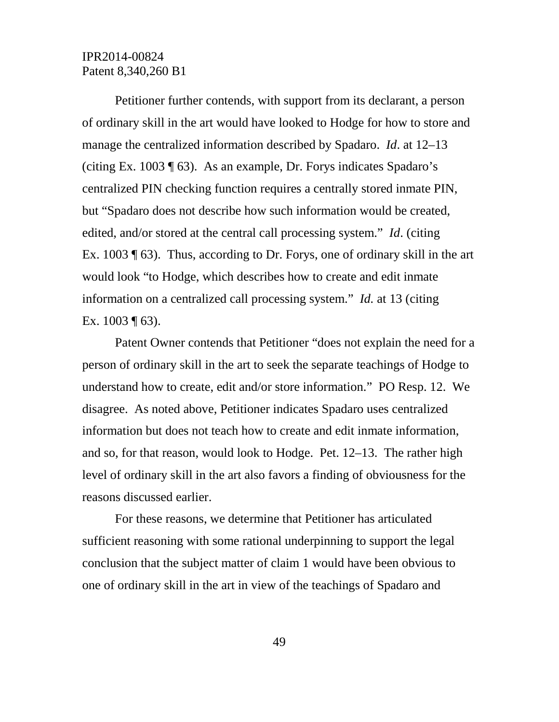Petitioner further contends, with support from its declarant, a person of ordinary skill in the art would have looked to Hodge for how to store and manage the centralized information described by Spadaro. *Id*. at 12–13 (citing Ex. 1003 ¶ 63). As an example, Dr. Forys indicates Spadaro's centralized PIN checking function requires a centrally stored inmate PIN, but "Spadaro does not describe how such information would be created, edited, and/or stored at the central call processing system." *Id*. (citing Ex. 1003 ¶ 63). Thus, according to Dr. Forys, one of ordinary skill in the art would look "to Hodge, which describes how to create and edit inmate information on a centralized call processing system." *Id.* at 13 (citing Ex.  $1003 \text{ } \text{T}$  63).

Patent Owner contends that Petitioner "does not explain the need for a person of ordinary skill in the art to seek the separate teachings of Hodge to understand how to create, edit and/or store information." PO Resp. 12. We disagree. As noted above, Petitioner indicates Spadaro uses centralized information but does not teach how to create and edit inmate information, and so, for that reason, would look to Hodge. Pet. 12–13. The rather high level of ordinary skill in the art also favors a finding of obviousness for the reasons discussed earlier.

For these reasons, we determine that Petitioner has articulated sufficient reasoning with some rational underpinning to support the legal conclusion that the subject matter of claim 1 would have been obvious to one of ordinary skill in the art in view of the teachings of Spadaro and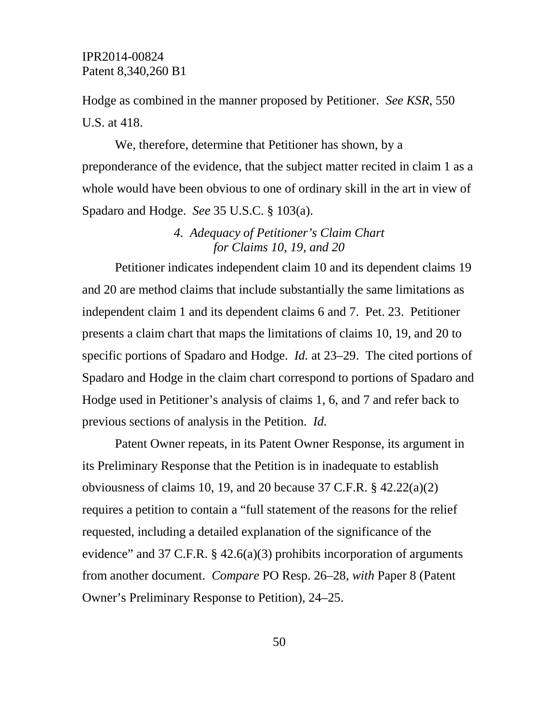Hodge as combined in the manner proposed by Petitioner. *See KSR*, 550 U.S. at 418.

We, therefore, determine that Petitioner has shown, by a preponderance of the evidence, that the subject matter recited in claim 1 as a whole would have been obvious to one of ordinary skill in the art in view of Spadaro and Hodge. *See* 35 U.S.C. § 103(a).

# *4. Adequacy of Petitioner's Claim Chart for Claims 10, 19, and 20*

Petitioner indicates independent claim 10 and its dependent claims 19 and 20 are method claims that include substantially the same limitations as independent claim 1 and its dependent claims 6 and 7. Pet. 23. Petitioner presents a claim chart that maps the limitations of claims 10, 19, and 20 to specific portions of Spadaro and Hodge. *Id.* at 23–29. The cited portions of Spadaro and Hodge in the claim chart correspond to portions of Spadaro and Hodge used in Petitioner's analysis of claims 1, 6, and 7 and refer back to previous sections of analysis in the Petition. *Id.*

Patent Owner repeats, in its Patent Owner Response, its argument in its Preliminary Response that the Petition is in inadequate to establish obviousness of claims 10, 19, and 20 because 37 C.F.R.  $\S$  42.22(a)(2) requires a petition to contain a "full statement of the reasons for the relief requested, including a detailed explanation of the significance of the evidence" and 37 C.F.R.  $\S$  42.6(a)(3) prohibits incorporation of arguments from another document. *Compare* PO Resp. 26–28, *with* Paper 8 (Patent Owner's Preliminary Response to Petition), 24–25.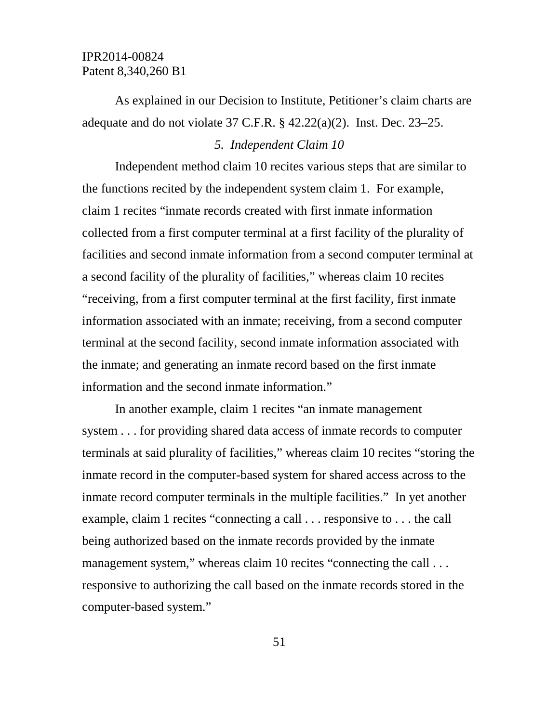As explained in our Decision to Institute, Petitioner's claim charts are adequate and do not violate 37 C.F.R. § 42.22(a)(2). Inst. Dec. 23–25.

#### *5. Independent Claim 10*

Independent method claim 10 recites various steps that are similar to the functions recited by the independent system claim 1. For example, claim 1 recites "inmate records created with first inmate information collected from a first computer terminal at a first facility of the plurality of facilities and second inmate information from a second computer terminal at a second facility of the plurality of facilities," whereas claim 10 recites "receiving, from a first computer terminal at the first facility, first inmate information associated with an inmate; receiving, from a second computer terminal at the second facility, second inmate information associated with the inmate; and generating an inmate record based on the first inmate information and the second inmate information."

In another example, claim 1 recites "an inmate management system . . . for providing shared data access of inmate records to computer terminals at said plurality of facilities," whereas claim 10 recites "storing the inmate record in the computer-based system for shared access across to the inmate record computer terminals in the multiple facilities." In yet another example, claim 1 recites "connecting a call . . . responsive to . . . the call being authorized based on the inmate records provided by the inmate management system," whereas claim 10 recites "connecting the call . . . responsive to authorizing the call based on the inmate records stored in the computer-based system."

51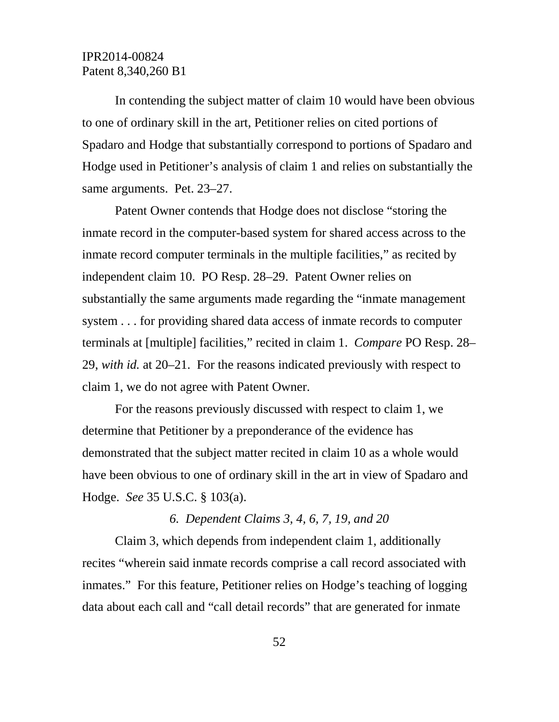In contending the subject matter of claim 10 would have been obvious to one of ordinary skill in the art, Petitioner relies on cited portions of Spadaro and Hodge that substantially correspond to portions of Spadaro and Hodge used in Petitioner's analysis of claim 1 and relies on substantially the same arguments. Pet. 23–27.

Patent Owner contends that Hodge does not disclose "storing the inmate record in the computer-based system for shared access across to the inmate record computer terminals in the multiple facilities," as recited by independent claim 10. PO Resp. 28–29. Patent Owner relies on substantially the same arguments made regarding the "inmate management system . . . for providing shared data access of inmate records to computer terminals at [multiple] facilities," recited in claim 1. *Compare* PO Resp. 28– 29, *with id.* at 20–21. For the reasons indicated previously with respect to claim 1, we do not agree with Patent Owner.

For the reasons previously discussed with respect to claim 1, we determine that Petitioner by a preponderance of the evidence has demonstrated that the subject matter recited in claim 10 as a whole would have been obvious to one of ordinary skill in the art in view of Spadaro and Hodge. *See* 35 U.S.C. § 103(a).

### *6. Dependent Claims 3, 4, 6, 7, 19, and 20*

Claim 3, which depends from independent claim 1, additionally recites "wherein said inmate records comprise a call record associated with inmates." For this feature, Petitioner relies on Hodge's teaching of logging data about each call and "call detail records" that are generated for inmate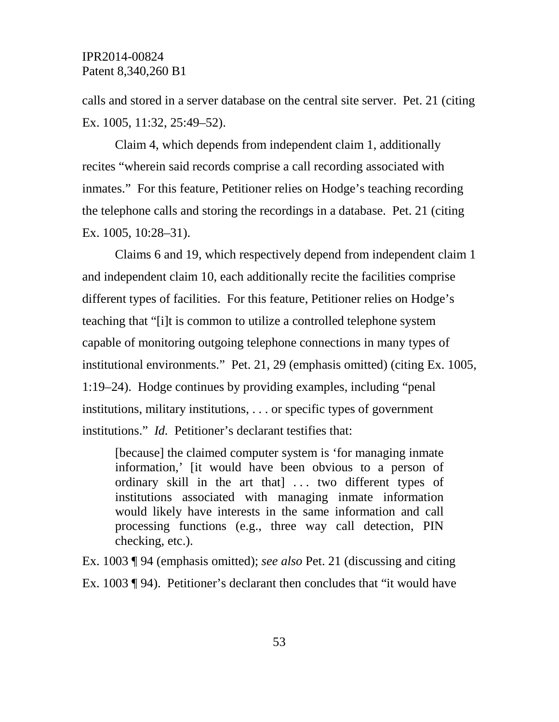calls and stored in a server database on the central site server. Pet. 21 (citing Ex. 1005, 11:32, 25:49–52).

Claim 4, which depends from independent claim 1, additionally recites "wherein said records comprise a call recording associated with inmates." For this feature, Petitioner relies on Hodge's teaching recording the telephone calls and storing the recordings in a database. Pet. 21 (citing Ex. 1005, 10:28–31).

Claims 6 and 19, which respectively depend from independent claim 1 and independent claim 10, each additionally recite the facilities comprise different types of facilities. For this feature, Petitioner relies on Hodge's teaching that "[i]t is common to utilize a controlled telephone system capable of monitoring outgoing telephone connections in many types of institutional environments." Pet. 21, 29 (emphasis omitted) (citing Ex. 1005, 1:19–24). Hodge continues by providing examples, including "penal institutions, military institutions, . . . or specific types of government institutions." *Id.* Petitioner's declarant testifies that:

[because] the claimed computer system is 'for managing inmate information,' [it would have been obvious to a person of ordinary skill in the art that  $\cdots$  two different types of institutions associated with managing inmate information would likely have interests in the same information and call processing functions (e.g., three way call detection, PIN checking, etc.).

Ex. 1003 ¶ 94 (emphasis omitted); *see also* Pet. 21 (discussing and citing Ex. 1003 ¶ 94). Petitioner's declarant then concludes that "it would have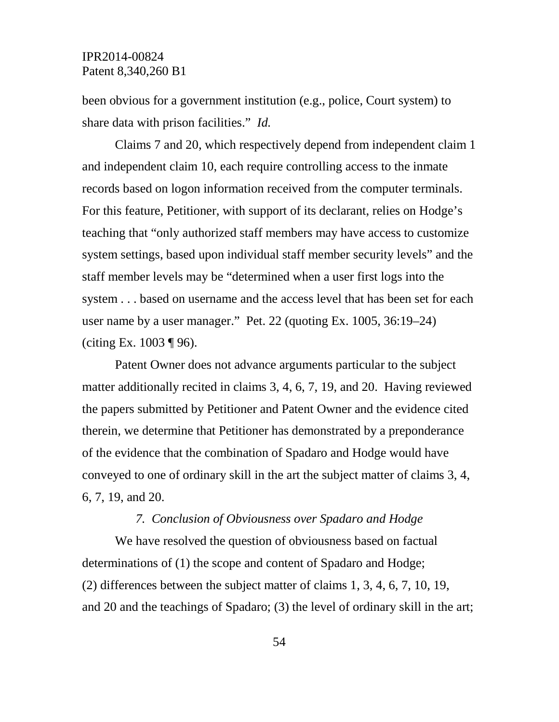been obvious for a government institution (e.g., police, Court system) to share data with prison facilities." *Id.* 

Claims 7 and 20, which respectively depend from independent claim 1 and independent claim 10, each require controlling access to the inmate records based on logon information received from the computer terminals. For this feature, Petitioner, with support of its declarant, relies on Hodge's teaching that "only authorized staff members may have access to customize system settings, based upon individual staff member security levels" and the staff member levels may be "determined when a user first logs into the system . . . based on username and the access level that has been set for each user name by a user manager." Pet. 22 (quoting Ex. 1005, 36:19–24) (citing Ex.  $1003 \text{ } \text{T}$  96).

Patent Owner does not advance arguments particular to the subject matter additionally recited in claims 3, 4, 6, 7, 19, and 20. Having reviewed the papers submitted by Petitioner and Patent Owner and the evidence cited therein, we determine that Petitioner has demonstrated by a preponderance of the evidence that the combination of Spadaro and Hodge would have conveyed to one of ordinary skill in the art the subject matter of claims 3, 4, 6, 7, 19, and 20.

### *7. Conclusion of Obviousness over Spadaro and Hodge*

We have resolved the question of obviousness based on factual determinations of (1) the scope and content of Spadaro and Hodge; (2) differences between the subject matter of claims 1, 3, 4, 6, 7, 10, 19, and 20 and the teachings of Spadaro; (3) the level of ordinary skill in the art;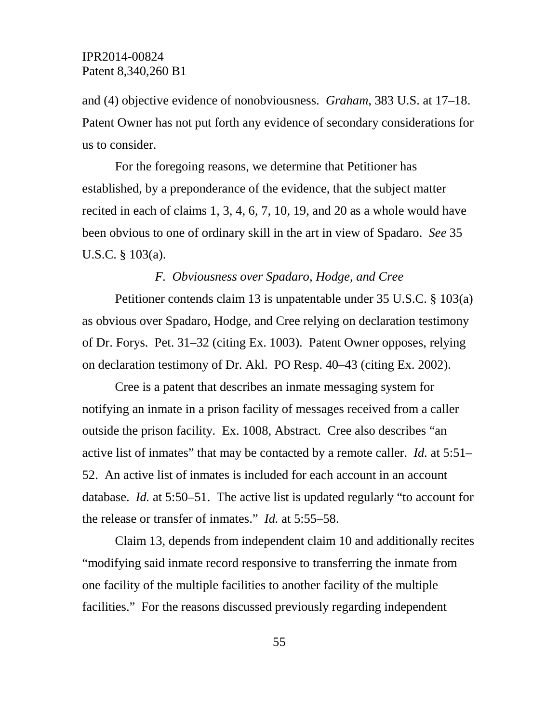and (4) objective evidence of nonobviousness. *Graham*, 383 U.S. at 17–18. Patent Owner has not put forth any evidence of secondary considerations for us to consider.

For the foregoing reasons, we determine that Petitioner has established, by a preponderance of the evidence, that the subject matter recited in each of claims 1, 3, 4, 6, 7, 10, 19, and 20 as a whole would have been obvious to one of ordinary skill in the art in view of Spadaro. *See* 35 U.S.C. § 103(a).

### *F. Obviousness over Spadaro, Hodge, and Cree*

Petitioner contends claim 13 is unpatentable under 35 U.S.C. § 103(a) as obvious over Spadaro, Hodge, and Cree relying on declaration testimony of Dr. Forys. Pet. 31–32 (citing Ex. 1003). Patent Owner opposes, relying on declaration testimony of Dr. Akl. PO Resp. 40–43 (citing Ex. 2002).

Cree is a patent that describes an inmate messaging system for notifying an inmate in a prison facility of messages received from a caller outside the prison facility. Ex. 1008, Abstract. Cree also describes "an active list of inmates" that may be contacted by a remote caller. *Id.* at 5:51– 52. An active list of inmates is included for each account in an account database. *Id.* at 5:50–51. The active list is updated regularly "to account for the release or transfer of inmates." *Id.* at 5:55–58.

Claim 13, depends from independent claim 10 and additionally recites "modifying said inmate record responsive to transferring the inmate from one facility of the multiple facilities to another facility of the multiple facilities." For the reasons discussed previously regarding independent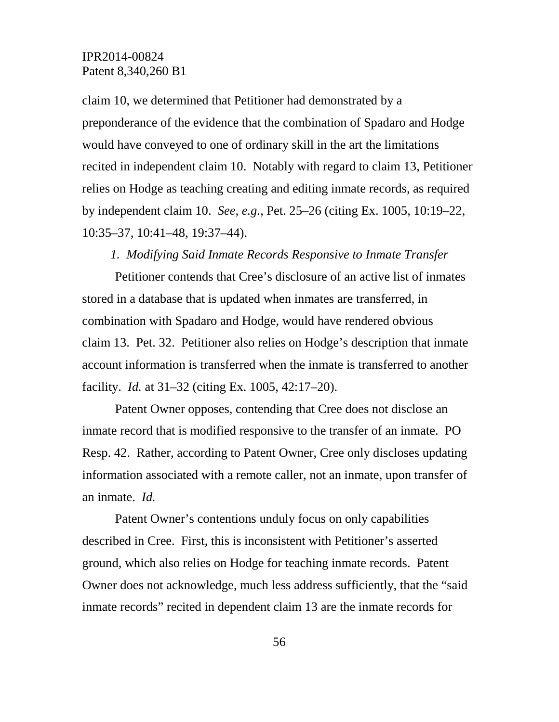claim 10, we determined that Petitioner had demonstrated by a preponderance of the evidence that the combination of Spadaro and Hodge would have conveyed to one of ordinary skill in the art the limitations recited in independent claim 10. Notably with regard to claim 13, Petitioner relies on Hodge as teaching creating and editing inmate records, as required by independent claim 10. *See, e.g.*, Pet. 25–26 (citing Ex. 1005, 10:19–22, 10:35–37, 10:41–48, 19:37–44).

#### *1. Modifying Said Inmate Records Responsive to Inmate Transfer*

Petitioner contends that Cree's disclosure of an active list of inmates stored in a database that is updated when inmates are transferred, in combination with Spadaro and Hodge, would have rendered obvious claim 13. Pet. 32. Petitioner also relies on Hodge's description that inmate account information is transferred when the inmate is transferred to another facility. *Id.* at 31–32 (citing Ex. 1005, 42:17–20).

Patent Owner opposes, contending that Cree does not disclose an inmate record that is modified responsive to the transfer of an inmate. PO Resp. 42. Rather, according to Patent Owner, Cree only discloses updating information associated with a remote caller, not an inmate, upon transfer of an inmate. *Id.*

Patent Owner's contentions unduly focus on only capabilities described in Cree. First, this is inconsistent with Petitioner's asserted ground, which also relies on Hodge for teaching inmate records. Patent Owner does not acknowledge, much less address sufficiently, that the "said inmate records" recited in dependent claim 13 are the inmate records for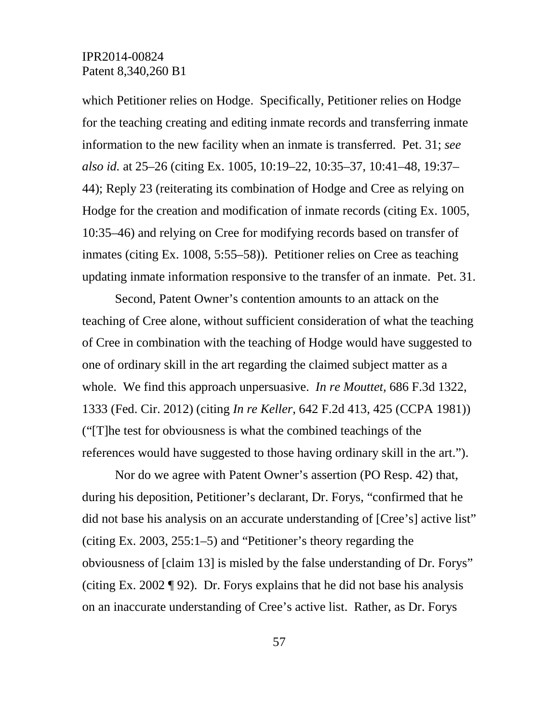which Petitioner relies on Hodge. Specifically, Petitioner relies on Hodge for the teaching creating and editing inmate records and transferring inmate information to the new facility when an inmate is transferred. Pet. 31; *see also id.* at 25–26 (citing Ex. 1005, 10:19–22, 10:35–37, 10:41–48, 19:37– 44); Reply 23 (reiterating its combination of Hodge and Cree as relying on Hodge for the creation and modification of inmate records (citing Ex. 1005, 10:35–46) and relying on Cree for modifying records based on transfer of inmates (citing Ex. 1008, 5:55–58)). Petitioner relies on Cree as teaching updating inmate information responsive to the transfer of an inmate. Pet. 31.

Second, Patent Owner's contention amounts to an attack on the teaching of Cree alone, without sufficient consideration of what the teaching of Cree in combination with the teaching of Hodge would have suggested to one of ordinary skill in the art regarding the claimed subject matter as a whole. We find this approach unpersuasive. *In re Mouttet,* 686 F.3d 1322, 1333 (Fed. Cir. 2012) (citing *In re Keller*, 642 F.2d 413, 425 (CCPA 1981)) ("[T]he test for obviousness is what the combined teachings of the references would have suggested to those having ordinary skill in the art.").

Nor do we agree with Patent Owner's assertion (PO Resp. 42) that, during his deposition, Petitioner's declarant, Dr. Forys, "confirmed that he did not base his analysis on an accurate understanding of [Cree's] active list" (citing Ex. 2003, 255:1–5) and "Petitioner's theory regarding the obviousness of [claim 13] is misled by the false understanding of Dr. Forys" (citing Ex. 2002 ¶ 92). Dr. Forys explains that he did not base his analysis on an inaccurate understanding of Cree's active list. Rather, as Dr. Forys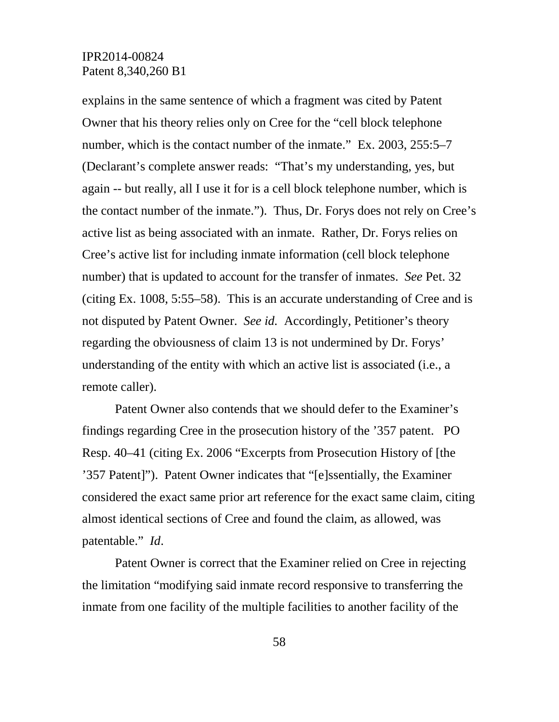explains in the same sentence of which a fragment was cited by Patent Owner that his theory relies only on Cree for the "cell block telephone number, which is the contact number of the inmate." Ex. 2003, 255:5–7 (Declarant's complete answer reads: "That's my understanding, yes, but again -- but really, all I use it for is a cell block telephone number, which is the contact number of the inmate."). Thus, Dr. Forys does not rely on Cree's active list as being associated with an inmate. Rather, Dr. Forys relies on Cree's active list for including inmate information (cell block telephone number) that is updated to account for the transfer of inmates. *See* Pet. 32 (citing Ex. 1008, 5:55–58). This is an accurate understanding of Cree and is not disputed by Patent Owner. *See id.* Accordingly, Petitioner's theory regarding the obviousness of claim 13 is not undermined by Dr. Forys' understanding of the entity with which an active list is associated (i.e., a remote caller).

Patent Owner also contends that we should defer to the Examiner's findings regarding Cree in the prosecution history of the '357 patent. PO Resp. 40–41 (citing Ex. 2006 "Excerpts from Prosecution History of [the '357 Patent]"). Patent Owner indicates that "[e]ssentially, the Examiner considered the exact same prior art reference for the exact same claim, citing almost identical sections of Cree and found the claim, as allowed, was patentable." *Id*.

Patent Owner is correct that the Examiner relied on Cree in rejecting the limitation "modifying said inmate record responsive to transferring the inmate from one facility of the multiple facilities to another facility of the

58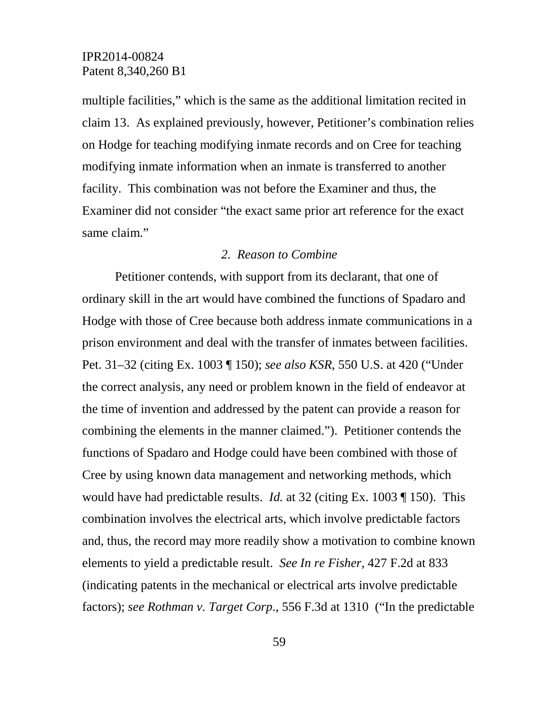multiple facilities," which is the same as the additional limitation recited in claim 13. As explained previously, however, Petitioner's combination relies on Hodge for teaching modifying inmate records and on Cree for teaching modifying inmate information when an inmate is transferred to another facility. This combination was not before the Examiner and thus, the Examiner did not consider "the exact same prior art reference for the exact same claim."

### *2. Reason to Combine*

Petitioner contends, with support from its declarant, that one of ordinary skill in the art would have combined the functions of Spadaro and Hodge with those of Cree because both address inmate communications in a prison environment and deal with the transfer of inmates between facilities. Pet. 31–32 (citing Ex. 1003 ¶ 150); *see also KSR*, 550 U.S. at 420 ("Under the correct analysis, any need or problem known in the field of endeavor at the time of invention and addressed by the patent can provide a reason for combining the elements in the manner claimed."). Petitioner contends the functions of Spadaro and Hodge could have been combined with those of Cree by using known data management and networking methods, which would have had predictable results. *Id.* at 32 (citing Ex. 1003 ¶ 150). This combination involves the electrical arts, which involve predictable factors and, thus, the record may more readily show a motivation to combine known elements to yield a predictable result. *See In re Fisher*, 427 F.2d at 833 (indicating patents in the mechanical or electrical arts involve predictable factors); *see Rothman v. Target Corp*., 556 F.3d at 1310 ("In the predictable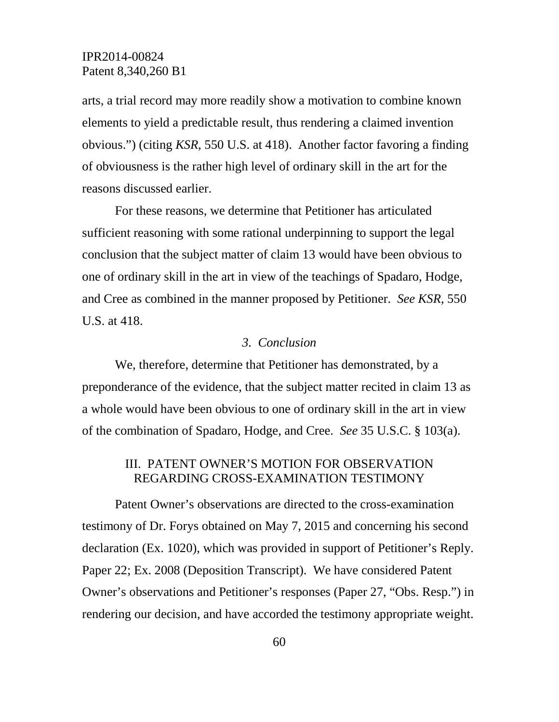arts, a trial record may more readily show a motivation to combine known elements to yield a predictable result, thus rendering a claimed invention obvious.") (citing *KSR*, 550 U.S. at 418). Another factor favoring a finding of obviousness is the rather high level of ordinary skill in the art for the reasons discussed earlier.

For these reasons, we determine that Petitioner has articulated sufficient reasoning with some rational underpinning to support the legal conclusion that the subject matter of claim 13 would have been obvious to one of ordinary skill in the art in view of the teachings of Spadaro, Hodge, and Cree as combined in the manner proposed by Petitioner. *See KSR*, 550 U.S. at 418.

### *3. Conclusion*

We, therefore, determine that Petitioner has demonstrated, by a preponderance of the evidence, that the subject matter recited in claim 13 as a whole would have been obvious to one of ordinary skill in the art in view of the combination of Spadaro, Hodge, and Cree. *See* 35 U.S.C. § 103(a).

## III. PATENT OWNER'S MOTION FOR OBSERVATION REGARDING CROSS-EXAMINATION TESTIMONY

Patent Owner's observations are directed to the cross-examination testimony of Dr. Forys obtained on May 7, 2015 and concerning his second declaration (Ex. 1020), which was provided in support of Petitioner's Reply. Paper 22; Ex. 2008 (Deposition Transcript). We have considered Patent Owner's observations and Petitioner's responses (Paper 27, "Obs. Resp.") in rendering our decision, and have accorded the testimony appropriate weight.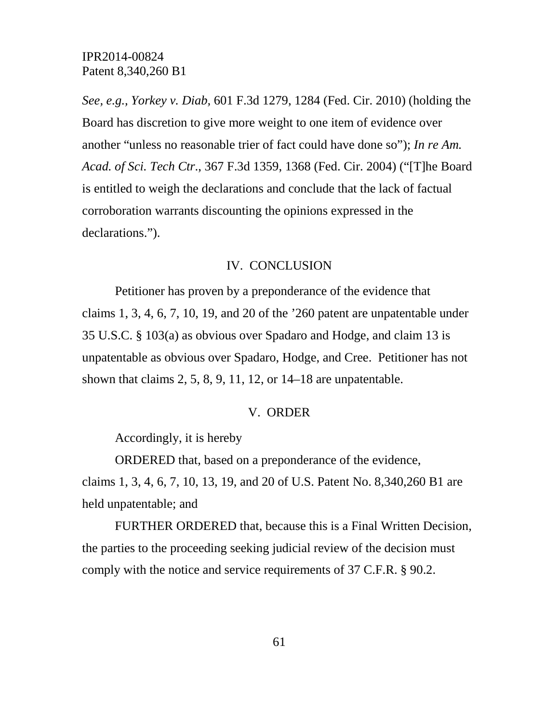*See, e.g., Yorkey v. Diab,* 601 F.3d 1279, 1284 (Fed. Cir. 2010) (holding the Board has discretion to give more weight to one item of evidence over another "unless no reasonable trier of fact could have done so"); *In re Am. Acad. of Sci. Tech Ctr*., 367 F.3d 1359, 1368 (Fed. Cir. 2004) ("[T]he Board is entitled to weigh the declarations and conclude that the lack of factual corroboration warrants discounting the opinions expressed in the declarations.").

### IV. CONCLUSION

Petitioner has proven by a preponderance of the evidence that claims 1, 3, 4, 6, 7, 10, 19, and 20 of the '260 patent are unpatentable under 35 U.S.C. § 103(a) as obvious over Spadaro and Hodge, and claim 13 is unpatentable as obvious over Spadaro, Hodge, and Cree. Petitioner has not shown that claims  $2, 5, 8, 9, 11, 12$ , or  $14-18$  are unpatentable.

#### V. ORDER

Accordingly, it is hereby

ORDERED that, based on a preponderance of the evidence, claims 1, 3, 4, 6, 7, 10, 13, 19, and 20 of U.S. Patent No. 8,340,260 B1 are held unpatentable; and

FURTHER ORDERED that, because this is a Final Written Decision, the parties to the proceeding seeking judicial review of the decision must comply with the notice and service requirements of 37 C.F.R. § 90.2.